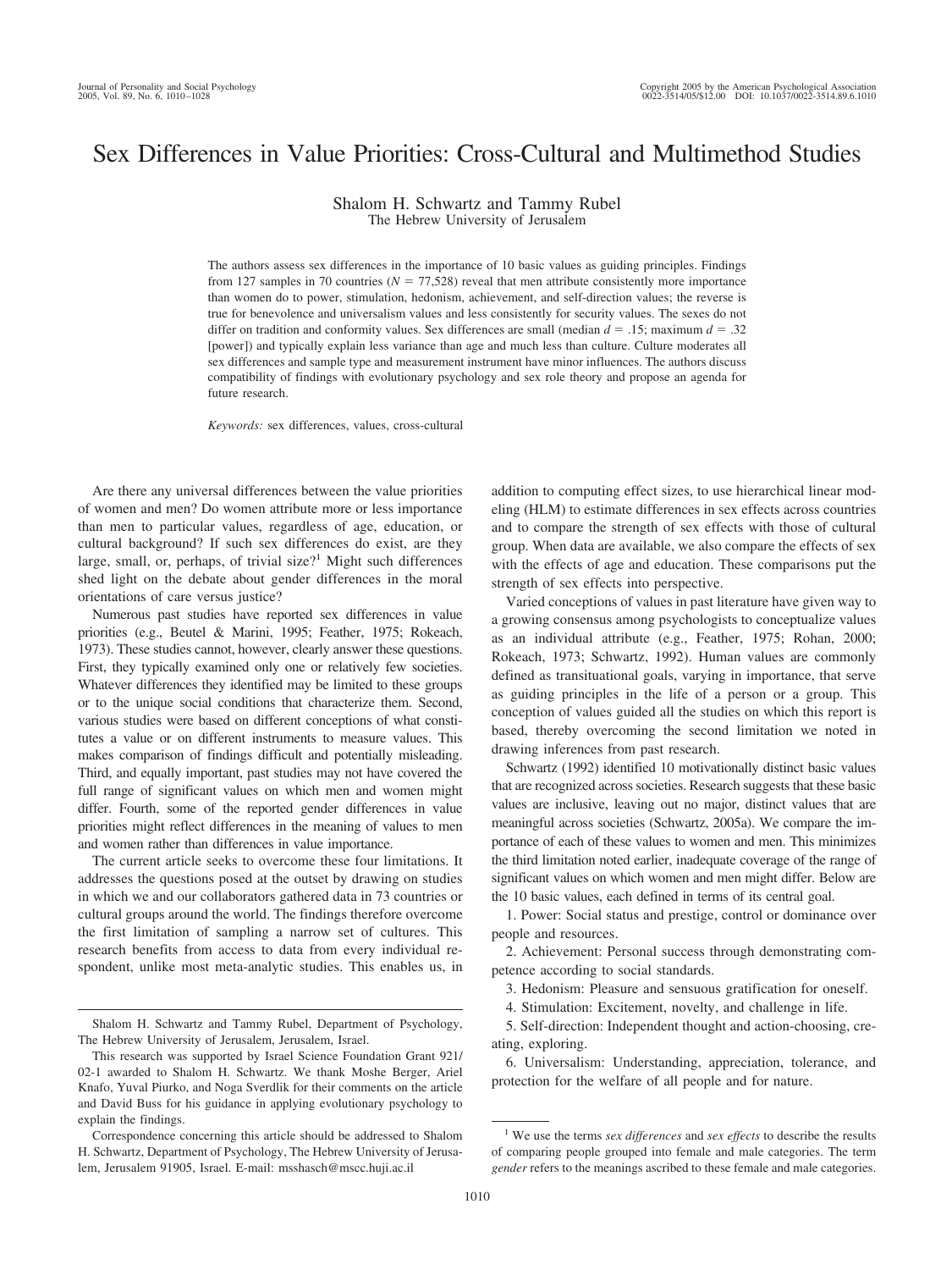# Sex Differences in Value Priorities: Cross-Cultural and Multimethod Studies

Shalom H. Schwartz and Tammy Rubel The Hebrew University of Jerusalem

The authors assess sex differences in the importance of 10 basic values as guiding principles. Findings from 127 samples in 70 countries ( $N = 77,528$ ) reveal that men attribute consistently more importance than women do to power, stimulation, hedonism, achievement, and self-direction values; the reverse is true for benevolence and universalism values and less consistently for security values. The sexes do not differ on tradition and conformity values. Sex differences are small (median  $d = .15$ ; maximum  $d = .32$ [power]) and typically explain less variance than age and much less than culture. Culture moderates all sex differences and sample type and measurement instrument have minor influences. The authors discuss compatibility of findings with evolutionary psychology and sex role theory and propose an agenda for future research.

*Keywords:* sex differences, values, cross-cultural

Are there any universal differences between the value priorities of women and men? Do women attribute more or less importance than men to particular values, regardless of age, education, or cultural background? If such sex differences do exist, are they large, small, or, perhaps, of trivial size?<sup>1</sup> Might such differences shed light on the debate about gender differences in the moral orientations of care versus justice?

Numerous past studies have reported sex differences in value priorities (e.g., Beutel & Marini, 1995; Feather, 1975; Rokeach, 1973). These studies cannot, however, clearly answer these questions. First, they typically examined only one or relatively few societies. Whatever differences they identified may be limited to these groups or to the unique social conditions that characterize them. Second, various studies were based on different conceptions of what constitutes a value or on different instruments to measure values. This makes comparison of findings difficult and potentially misleading. Third, and equally important, past studies may not have covered the full range of significant values on which men and women might differ. Fourth, some of the reported gender differences in value priorities might reflect differences in the meaning of values to men and women rather than differences in value importance.

The current article seeks to overcome these four limitations. It addresses the questions posed at the outset by drawing on studies in which we and our collaborators gathered data in 73 countries or cultural groups around the world. The findings therefore overcome the first limitation of sampling a narrow set of cultures. This research benefits from access to data from every individual respondent, unlike most meta-analytic studies. This enables us, in addition to computing effect sizes, to use hierarchical linear modeling (HLM) to estimate differences in sex effects across countries and to compare the strength of sex effects with those of cultural group. When data are available, we also compare the effects of sex with the effects of age and education. These comparisons put the strength of sex effects into perspective.

Varied conceptions of values in past literature have given way to a growing consensus among psychologists to conceptualize values as an individual attribute (e.g., Feather, 1975; Rohan, 2000; Rokeach, 1973; Schwartz, 1992). Human values are commonly defined as transituational goals, varying in importance, that serve as guiding principles in the life of a person or a group. This conception of values guided all the studies on which this report is based, thereby overcoming the second limitation we noted in drawing inferences from past research.

Schwartz (1992) identified 10 motivationally distinct basic values that are recognized across societies. Research suggests that these basic values are inclusive, leaving out no major, distinct values that are meaningful across societies (Schwartz, 2005a). We compare the importance of each of these values to women and men. This minimizes the third limitation noted earlier, inadequate coverage of the range of significant values on which women and men might differ. Below are the 10 basic values, each defined in terms of its central goal.

1. Power: Social status and prestige, control or dominance over people and resources.

2. Achievement: Personal success through demonstrating competence according to social standards.

3. Hedonism: Pleasure and sensuous gratification for oneself.

4. Stimulation: Excitement, novelty, and challenge in life.

5. Self-direction: Independent thought and action-choosing, creating, exploring.

6. Universalism: Understanding, appreciation, tolerance, and protection for the welfare of all people and for nature.

Shalom H. Schwartz and Tammy Rubel, Department of Psychology, The Hebrew University of Jerusalem, Jerusalem, Israel.

This research was supported by Israel Science Foundation Grant 921/ 02-1 awarded to Shalom H. Schwartz. We thank Moshe Berger, Ariel Knafo, Yuval Piurko, and Noga Sverdlik for their comments on the article and David Buss for his guidance in applying evolutionary psychology to explain the findings.

Correspondence concerning this article should be addressed to Shalom H. Schwartz, Department of Psychology, The Hebrew University of Jerusalem, Jerusalem 91905, Israel. E-mail: msshasch@mscc.huji.ac.il

<sup>1</sup> We use the terms *sex differences* and *sex effects* to describe the results of comparing people grouped into female and male categories. The term *gender* refers to the meanings ascribed to these female and male categories.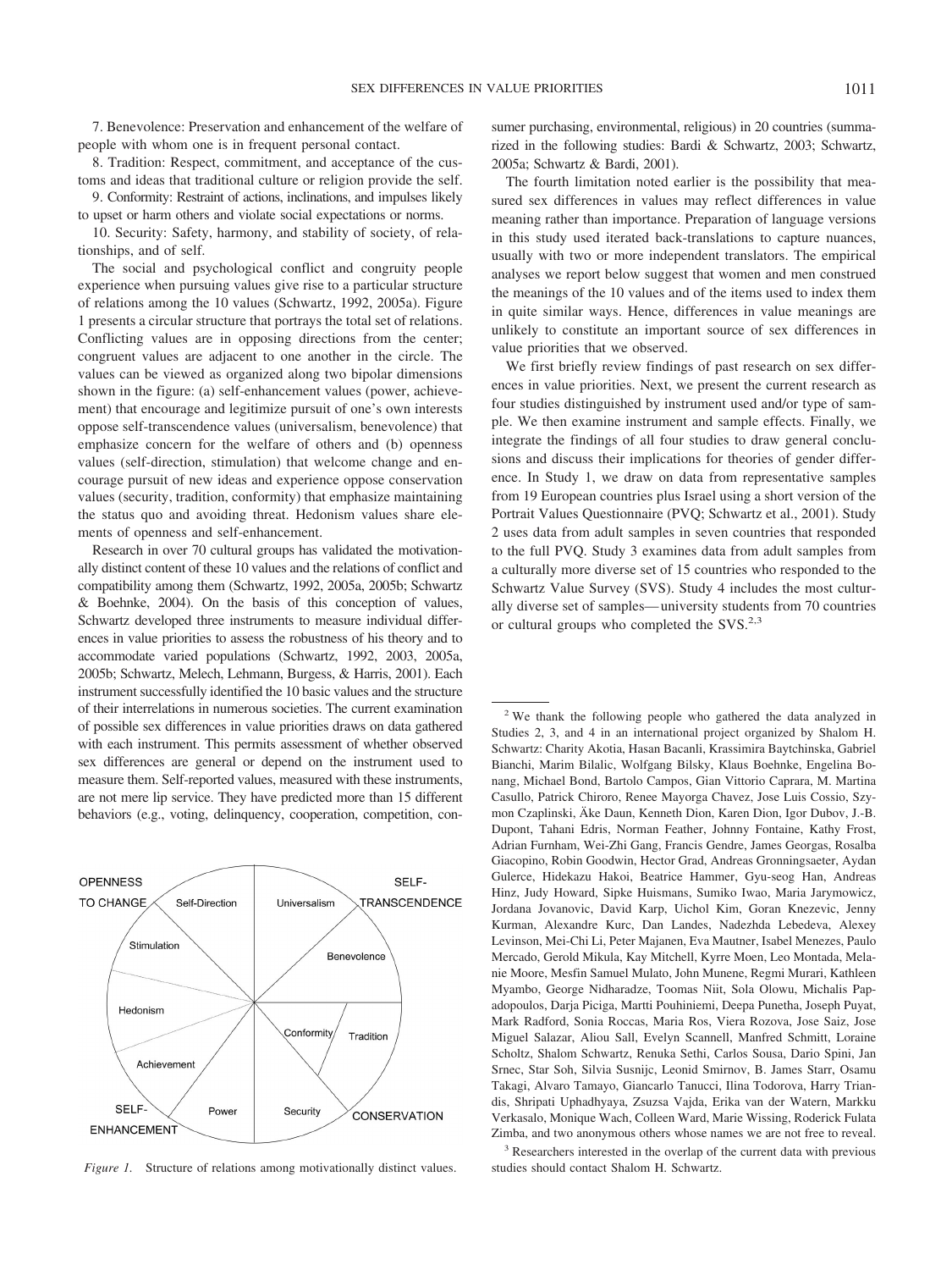7. Benevolence: Preservation and enhancement of the welfare of people with whom one is in frequent personal contact.

8. Tradition: Respect, commitment, and acceptance of the customs and ideas that traditional culture or religion provide the self.

9. Conformity: Restraint of actions, inclinations, and impulses likely to upset or harm others and violate social expectations or norms.

10. Security: Safety, harmony, and stability of society, of relationships, and of self.

The social and psychological conflict and congruity people experience when pursuing values give rise to a particular structure of relations among the 10 values (Schwartz, 1992, 2005a). Figure 1 presents a circular structure that portrays the total set of relations. Conflicting values are in opposing directions from the center; congruent values are adjacent to one another in the circle. The values can be viewed as organized along two bipolar dimensions shown in the figure: (a) self-enhancement values (power, achievement) that encourage and legitimize pursuit of one's own interests oppose self-transcendence values (universalism, benevolence) that emphasize concern for the welfare of others and (b) openness values (self-direction, stimulation) that welcome change and encourage pursuit of new ideas and experience oppose conservation values (security, tradition, conformity) that emphasize maintaining the status quo and avoiding threat. Hedonism values share elements of openness and self-enhancement.

Research in over 70 cultural groups has validated the motivationally distinct content of these 10 values and the relations of conflict and compatibility among them (Schwartz, 1992, 2005a, 2005b; Schwartz & Boehnke, 2004). On the basis of this conception of values, Schwartz developed three instruments to measure individual differences in value priorities to assess the robustness of his theory and to accommodate varied populations (Schwartz, 1992, 2003, 2005a, 2005b; Schwartz, Melech, Lehmann, Burgess, & Harris, 2001). Each instrument successfully identified the 10 basic values and the structure of their interrelations in numerous societies. The current examination of possible sex differences in value priorities draws on data gathered with each instrument. This permits assessment of whether observed sex differences are general or depend on the instrument used to measure them. Self-reported values, measured with these instruments, are not mere lip service. They have predicted more than 15 different behaviors (e.g., voting, delinquency, cooperation, competition, con-



*Figure 1.* Structure of relations among motivationally distinct values. studies should contact Shalom H. Schwartz.

sumer purchasing, environmental, religious) in 20 countries (summarized in the following studies: Bardi & Schwartz, 2003; Schwartz, 2005a; Schwartz & Bardi, 2001).

The fourth limitation noted earlier is the possibility that measured sex differences in values may reflect differences in value meaning rather than importance. Preparation of language versions in this study used iterated back-translations to capture nuances, usually with two or more independent translators. The empirical analyses we report below suggest that women and men construed the meanings of the 10 values and of the items used to index them in quite similar ways. Hence, differences in value meanings are unlikely to constitute an important source of sex differences in value priorities that we observed.

We first briefly review findings of past research on sex differences in value priorities. Next, we present the current research as four studies distinguished by instrument used and/or type of sample. We then examine instrument and sample effects. Finally, we integrate the findings of all four studies to draw general conclusions and discuss their implications for theories of gender difference. In Study 1, we draw on data from representative samples from 19 European countries plus Israel using a short version of the Portrait Values Questionnaire (PVQ; Schwartz et al., 2001). Study 2 uses data from adult samples in seven countries that responded to the full PVQ. Study 3 examines data from adult samples from a culturally more diverse set of 15 countries who responded to the Schwartz Value Survey (SVS). Study 4 includes the most culturally diverse set of samples— university students from 70 countries or cultural groups who completed the SVS.<sup>2,3</sup>

<sup>2</sup> We thank the following people who gathered the data analyzed in Studies 2, 3, and 4 in an international project organized by Shalom H. Schwartz: Charity Akotia, Hasan Bacanli, Krassimira Baytchinska, Gabriel Bianchi, Marim Bilalic, Wolfgang Bilsky, Klaus Boehnke, Engelina Bonang, Michael Bond, Bartolo Campos, Gian Vittorio Caprara, M. Martina Casullo, Patrick Chiroro, Renee Mayorga Chavez, Jose Luis Cossio, Szymon Czaplinski, Äke Daun, Kenneth Dion, Karen Dion, Igor Dubov, J.-B. Dupont, Tahani Edris, Norman Feather, Johnny Fontaine, Kathy Frost, Adrian Furnham, Wei-Zhi Gang, Francis Gendre, James Georgas, Rosalba Giacopino, Robin Goodwin, Hector Grad, Andreas Gronningsaeter, Aydan Gulerce, Hidekazu Hakoi, Beatrice Hammer, Gyu-seog Han, Andreas Hinz, Judy Howard, Sipke Huismans, Sumiko Iwao, Maria Jarymowicz, Jordana Jovanovic, David Karp, Uichol Kim, Goran Knezevic, Jenny Kurman, Alexandre Kurc, Dan Landes, Nadezhda Lebedeva, Alexey Levinson, Mei-Chi Li, Peter Majanen, Eva Mautner, Isabel Menezes, Paulo Mercado, Gerold Mikula, Kay Mitchell, Kyrre Moen, Leo Montada, Melanie Moore, Mesfin Samuel Mulato, John Munene, Regmi Murari, Kathleen Myambo, George Nidharadze, Toomas Niit, Sola Olowu, Michalis Papadopoulos, Darja Piciga, Martti Pouhiniemi, Deepa Punetha, Joseph Puyat, Mark Radford, Sonia Roccas, Maria Ros, Viera Rozova, Jose Saiz, Jose Miguel Salazar, Aliou Sall, Evelyn Scannell, Manfred Schmitt, Loraine Scholtz, Shalom Schwartz, Renuka Sethi, Carlos Sousa, Dario Spini, Jan Srnec, Star Soh, Silvia Susnijc, Leonid Smirnov, B. James Starr, Osamu Takagi, Alvaro Tamayo, Giancarlo Tanucci, Ilina Todorova, Harry Triandis, Shripati Uphadhyaya, Zsuzsa Vajda, Erika van der Watern, Markku Verkasalo, Monique Wach, Colleen Ward, Marie Wissing, Roderick Fulata Zimba, and two anonymous others whose names we are not free to reveal.

<sup>3</sup> Researchers interested in the overlap of the current data with previous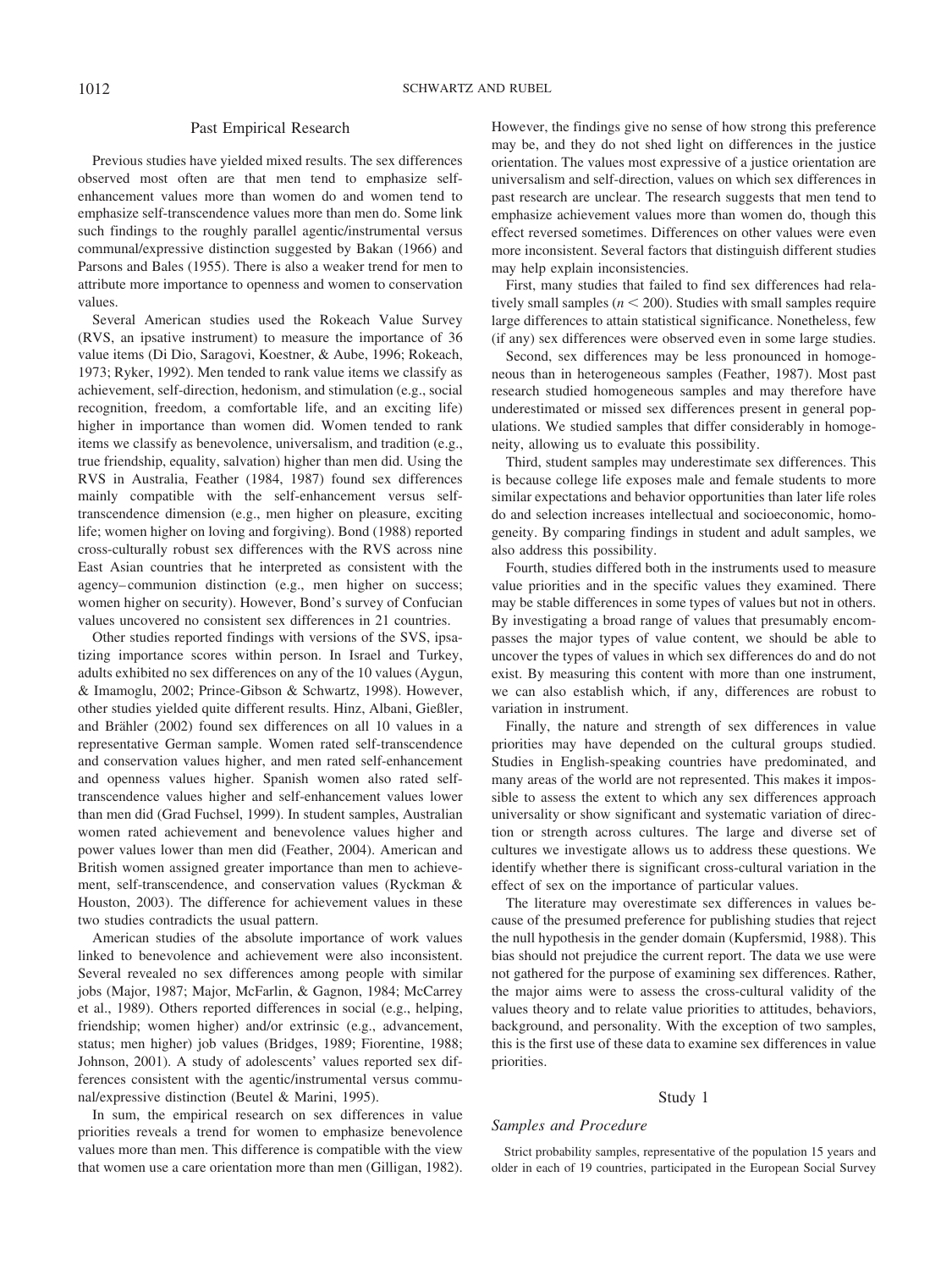# Past Empirical Research

Previous studies have yielded mixed results. The sex differences observed most often are that men tend to emphasize selfenhancement values more than women do and women tend to emphasize self-transcendence values more than men do. Some link such findings to the roughly parallel agentic/instrumental versus communal/expressive distinction suggested by Bakan (1966) and Parsons and Bales (1955). There is also a weaker trend for men to attribute more importance to openness and women to conservation values.

Several American studies used the Rokeach Value Survey (RVS, an ipsative instrument) to measure the importance of 36 value items (Di Dio, Saragovi, Koestner, & Aube, 1996; Rokeach, 1973; Ryker, 1992). Men tended to rank value items we classify as achievement, self-direction, hedonism, and stimulation (e.g., social recognition, freedom, a comfortable life, and an exciting life) higher in importance than women did. Women tended to rank items we classify as benevolence, universalism, and tradition (e.g., true friendship, equality, salvation) higher than men did. Using the RVS in Australia, Feather (1984, 1987) found sex differences mainly compatible with the self-enhancement versus selftranscendence dimension (e.g., men higher on pleasure, exciting life; women higher on loving and forgiving). Bond (1988) reported cross-culturally robust sex differences with the RVS across nine East Asian countries that he interpreted as consistent with the agency– communion distinction (e.g., men higher on success; women higher on security). However, Bond's survey of Confucian values uncovered no consistent sex differences in 21 countries.

Other studies reported findings with versions of the SVS, ipsatizing importance scores within person. In Israel and Turkey, adults exhibited no sex differences on any of the 10 values (Aygun, & Imamoglu, 2002; Prince-Gibson & Schwartz, 1998). However, other studies yielded quite different results. Hinz, Albani, Gießler, and Brähler (2002) found sex differences on all 10 values in a representative German sample. Women rated self-transcendence and conservation values higher, and men rated self-enhancement and openness values higher. Spanish women also rated selftranscendence values higher and self-enhancement values lower than men did (Grad Fuchsel, 1999). In student samples, Australian women rated achievement and benevolence values higher and power values lower than men did (Feather, 2004). American and British women assigned greater importance than men to achievement, self-transcendence, and conservation values (Ryckman & Houston, 2003). The difference for achievement values in these two studies contradicts the usual pattern.

American studies of the absolute importance of work values linked to benevolence and achievement were also inconsistent. Several revealed no sex differences among people with similar jobs (Major, 1987; Major, McFarlin, & Gagnon, 1984; McCarrey et al., 1989). Others reported differences in social (e.g., helping, friendship; women higher) and/or extrinsic (e.g., advancement, status; men higher) job values (Bridges, 1989; Fiorentine, 1988; Johnson, 2001). A study of adolescents' values reported sex differences consistent with the agentic/instrumental versus communal/expressive distinction (Beutel & Marini, 1995).

In sum, the empirical research on sex differences in value priorities reveals a trend for women to emphasize benevolence values more than men. This difference is compatible with the view that women use a care orientation more than men (Gilligan, 1982). However, the findings give no sense of how strong this preference may be, and they do not shed light on differences in the justice orientation. The values most expressive of a justice orientation are universalism and self-direction, values on which sex differences in past research are unclear. The research suggests that men tend to emphasize achievement values more than women do, though this effect reversed sometimes. Differences on other values were even more inconsistent. Several factors that distinguish different studies may help explain inconsistencies.

First, many studies that failed to find sex differences had relatively small samples  $(n < 200)$ . Studies with small samples require large differences to attain statistical significance. Nonetheless, few (if any) sex differences were observed even in some large studies.

Second, sex differences may be less pronounced in homogeneous than in heterogeneous samples (Feather, 1987). Most past research studied homogeneous samples and may therefore have underestimated or missed sex differences present in general populations. We studied samples that differ considerably in homogeneity, allowing us to evaluate this possibility.

Third, student samples may underestimate sex differences. This is because college life exposes male and female students to more similar expectations and behavior opportunities than later life roles do and selection increases intellectual and socioeconomic, homogeneity. By comparing findings in student and adult samples, we also address this possibility.

Fourth, studies differed both in the instruments used to measure value priorities and in the specific values they examined. There may be stable differences in some types of values but not in others. By investigating a broad range of values that presumably encompasses the major types of value content, we should be able to uncover the types of values in which sex differences do and do not exist. By measuring this content with more than one instrument, we can also establish which, if any, differences are robust to variation in instrument.

Finally, the nature and strength of sex differences in value priorities may have depended on the cultural groups studied. Studies in English-speaking countries have predominated, and many areas of the world are not represented. This makes it impossible to assess the extent to which any sex differences approach universality or show significant and systematic variation of direction or strength across cultures. The large and diverse set of cultures we investigate allows us to address these questions. We identify whether there is significant cross-cultural variation in the effect of sex on the importance of particular values.

The literature may overestimate sex differences in values because of the presumed preference for publishing studies that reject the null hypothesis in the gender domain (Kupfersmid, 1988). This bias should not prejudice the current report. The data we use were not gathered for the purpose of examining sex differences. Rather, the major aims were to assess the cross-cultural validity of the values theory and to relate value priorities to attitudes, behaviors, background, and personality. With the exception of two samples, this is the first use of these data to examine sex differences in value priorities.

### Study 1

#### *Samples and Procedure*

Strict probability samples, representative of the population 15 years and older in each of 19 countries, participated in the European Social Survey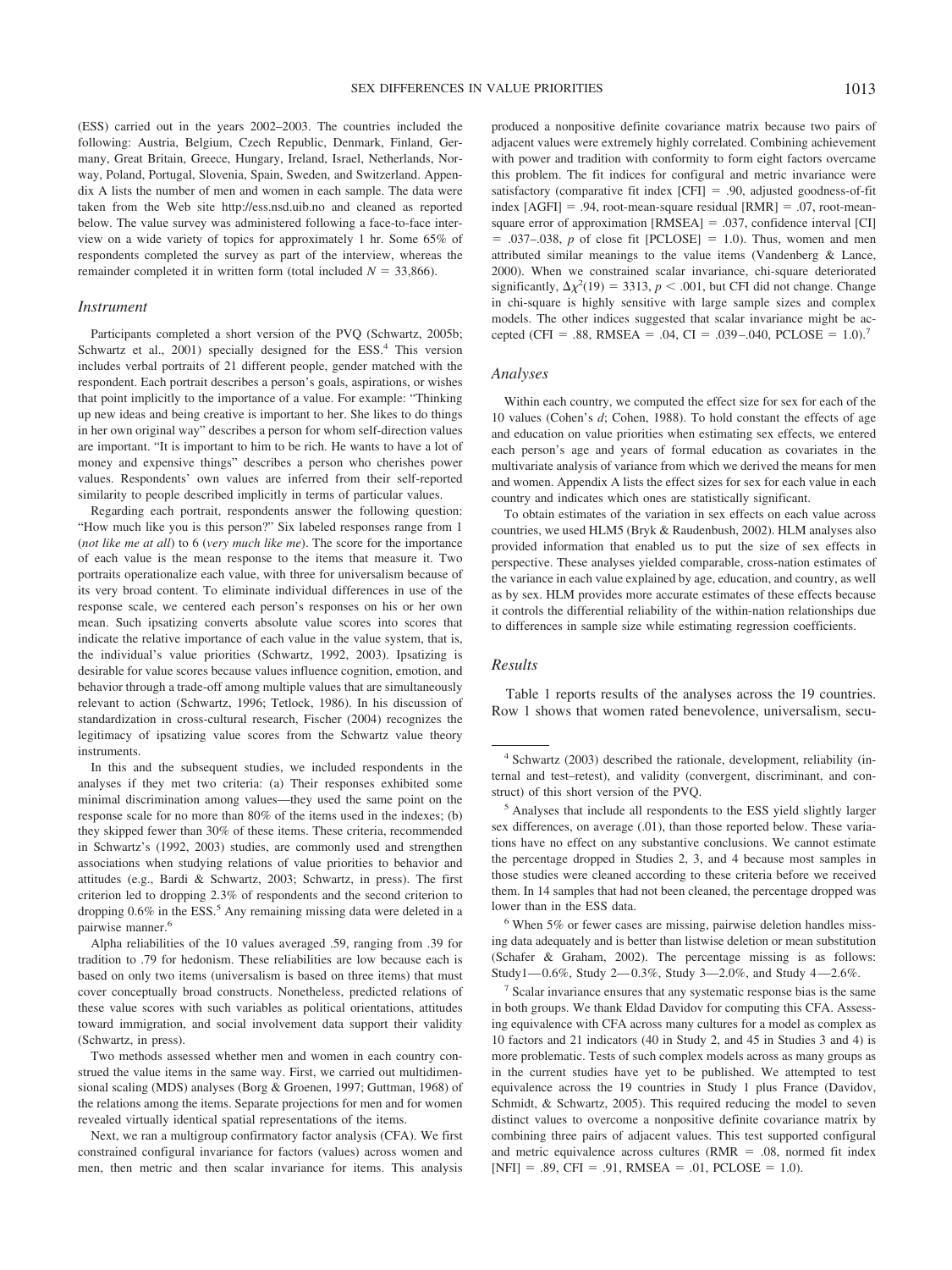(ESS) carried out in the years 2002–2003. The countries included the following: Austria, Belgium, Czech Republic, Denmark, Finland, Germany, Great Britain, Greece, Hungary, Ireland, Israel, Netherlands, Norway, Poland, Portugal, Slovenia, Spain, Sweden, and Switzerland. Appendix A lists the number of men and women in each sample. The data were taken from the Web site http://ess.nsd.uib.no and cleaned as reported below. The value survey was administered following a face-to-face interview on a wide variety of topics for approximately 1 hr. Some 65% of respondents completed the survey as part of the interview, whereas the remainder completed it in written form (total included  $N = 33,866$ ).

#### *Instrument*

Participants completed a short version of the PVQ (Schwartz, 2005b; Schwartz et al., 2001) specially designed for the ESS.<sup>4</sup> This version includes verbal portraits of 21 different people, gender matched with the respondent. Each portrait describes a person's goals, aspirations, or wishes that point implicitly to the importance of a value. For example: "Thinking up new ideas and being creative is important to her. She likes to do things in her own original way" describes a person for whom self-direction values are important. "It is important to him to be rich. He wants to have a lot of money and expensive things" describes a person who cherishes power values. Respondents' own values are inferred from their self-reported similarity to people described implicitly in terms of particular values.

Regarding each portrait, respondents answer the following question: "How much like you is this person?" Six labeled responses range from 1 (*not like me at all*) to 6 (*very much like me*). The score for the importance of each value is the mean response to the items that measure it. Two portraits operationalize each value, with three for universalism because of its very broad content. To eliminate individual differences in use of the response scale, we centered each person's responses on his or her own mean. Such ipsatizing converts absolute value scores into scores that indicate the relative importance of each value in the value system, that is, the individual's value priorities (Schwartz, 1992, 2003). Ipsatizing is desirable for value scores because values influence cognition, emotion, and behavior through a trade-off among multiple values that are simultaneously relevant to action (Schwartz, 1996; Tetlock, 1986). In his discussion of standardization in cross-cultural research, Fischer (2004) recognizes the legitimacy of ipsatizing value scores from the Schwartz value theory instruments.

In this and the subsequent studies, we included respondents in the analyses if they met two criteria: (a) Their responses exhibited some minimal discrimination among values—they used the same point on the response scale for no more than 80% of the items used in the indexes; (b) they skipped fewer than 30% of these items. These criteria, recommended in Schwartz's (1992, 2003) studies, are commonly used and strengthen associations when studying relations of value priorities to behavior and attitudes (e.g., Bardi & Schwartz, 2003; Schwartz, in press). The first criterion led to dropping 2.3% of respondents and the second criterion to dropping  $0.6\%$  in the ESS.<sup>5</sup> Any remaining missing data were deleted in a pairwise manner.<sup>6</sup>

Alpha reliabilities of the 10 values averaged .59, ranging from .39 for tradition to .79 for hedonism. These reliabilities are low because each is based on only two items (universalism is based on three items) that must cover conceptually broad constructs. Nonetheless, predicted relations of these value scores with such variables as political orientations, attitudes toward immigration, and social involvement data support their validity (Schwartz, in press).

Two methods assessed whether men and women in each country construed the value items in the same way. First, we carried out multidimensional scaling (MDS) analyses (Borg & Groenen, 1997; Guttman, 1968) of the relations among the items. Separate projections for men and for women revealed virtually identical spatial representations of the items.

Next, we ran a multigroup confirmatory factor analysis (CFA). We first constrained configural invariance for factors (values) across women and men, then metric and then scalar invariance for items. This analysis produced a nonpositive definite covariance matrix because two pairs of adjacent values were extremely highly correlated. Combining achievement with power and tradition with conformity to form eight factors overcame this problem. The fit indices for configural and metric invariance were satisfactory (comparative fit index  $[CFI] = .90$ , adjusted goodness-of-fit index  $[AGFI] = .94$ , root-mean-square residual  $[RMR] = .07$ , root-meansquare error of approximation  $[RMSEA] = .037$ , confidence interval  $[CI]$  $= .037-038$ , *p* of close fit [PCLOSE]  $= 1.0$ ). Thus, women and men attributed similar meanings to the value items (Vandenberg & Lance, 2000). When we constrained scalar invariance, chi-square deteriorated significantly,  $\Delta \chi^2(19) = 3313$ ,  $p < .001$ , but CFI did not change. Change in chi-square is highly sensitive with large sample sizes and complex models. The other indices suggested that scalar invariance might be accepted (CFI = .88, RMSEA = .04, CI = .039 –.040, PCLOSE =  $1.0$ ).<sup>7</sup>

# *Analyses*

Within each country, we computed the effect size for sex for each of the 10 values (Cohen's *d*; Cohen, 1988). To hold constant the effects of age and education on value priorities when estimating sex effects, we entered each person's age and years of formal education as covariates in the multivariate analysis of variance from which we derived the means for men and women. Appendix A lists the effect sizes for sex for each value in each country and indicates which ones are statistically significant.

To obtain estimates of the variation in sex effects on each value across countries, we used HLM5 (Bryk & Raudenbush, 2002). HLM analyses also provided information that enabled us to put the size of sex effects in perspective. These analyses yielded comparable, cross-nation estimates of the variance in each value explained by age, education, and country, as well as by sex. HLM provides more accurate estimates of these effects because it controls the differential reliability of the within-nation relationships due to differences in sample size while estimating regression coefficients.

#### *Results*

Table 1 reports results of the analyses across the 19 countries. Row 1 shows that women rated benevolence, universalism, secu-

<sup>5</sup> Analyses that include all respondents to the ESS yield slightly larger sex differences, on average (.01), than those reported below. These variations have no effect on any substantive conclusions. We cannot estimate the percentage dropped in Studies 2, 3, and 4 because most samples in those studies were cleaned according to these criteria before we received them. In 14 samples that had not been cleaned, the percentage dropped was lower than in the ESS data.

 $6$  When 5% or fewer cases are missing, pairwise deletion handles missing data adequately and is better than listwise deletion or mean substitution (Schafer & Graham, 2002). The percentage missing is as follows: Study1— 0.6%, Study 2— 0.3%, Study 3—2.0%, and Study 4—2.6%.

<sup>7</sup> Scalar invariance ensures that any systematic response bias is the same in both groups. We thank Eldad Davidov for computing this CFA. Assessing equivalence with CFA across many cultures for a model as complex as 10 factors and 21 indicators (40 in Study 2, and 45 in Studies 3 and 4) is more problematic. Tests of such complex models across as many groups as in the current studies have yet to be published. We attempted to test equivalence across the 19 countries in Study 1 plus France (Davidov, Schmidt, & Schwartz, 2005). This required reducing the model to seven distinct values to overcome a nonpositive definite covariance matrix by combining three pairs of adjacent values. This test supported configural and metric equivalence across cultures ( $RMR = .08$ , normed fit index  $[NFI] = .89$ , CFI = .91, RMSEA = .01, PCLOSE = 1.0).

<sup>4</sup> Schwartz (2003) described the rationale, development, reliability (internal and test–retest), and validity (convergent, discriminant, and construct) of this short version of the PVQ.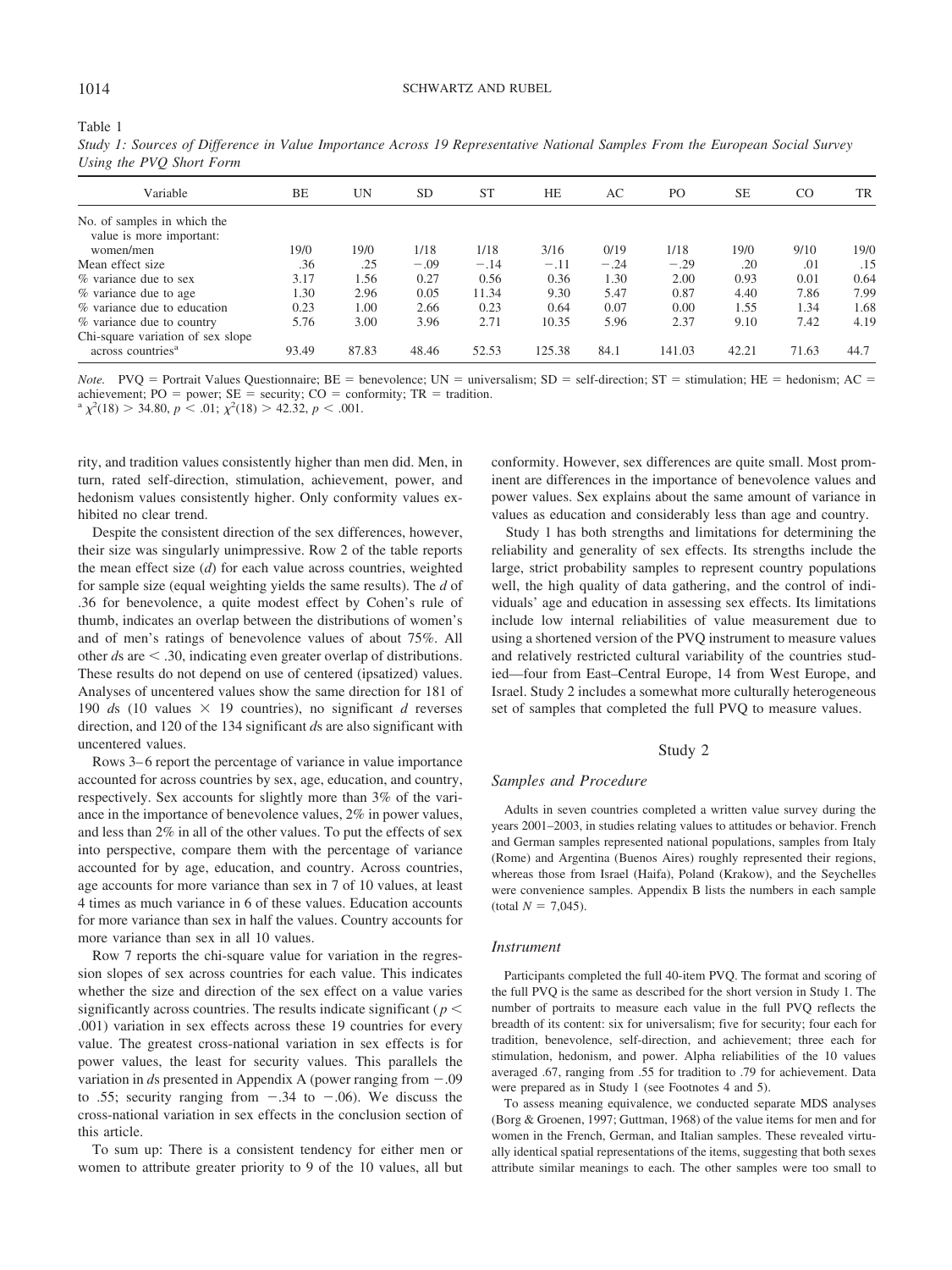#### 1014 SCHWARTZ AND RUBEL

Table 1

| Variable                                                | BE    | UN    | <b>SD</b> | <b>ST</b> | HE     | AC     | PO     | <b>SE</b> | $_{\rm CO}$ | TR   |
|---------------------------------------------------------|-------|-------|-----------|-----------|--------|--------|--------|-----------|-------------|------|
| No. of samples in which the<br>value is more important: |       |       |           |           |        |        |        |           |             |      |
| women/men                                               | 19/0  | 19/0  | 1/18      | 1/18      | 3/16   | 0/19   | 1/18   | 19/0      | 9/10        | 19/0 |
| Mean effect size                                        | .36   | .25   | $-.09$    | $-.14$    | $-.11$ | $-.24$ | $-.29$ | .20       | .01         | .15  |
| % variance due to sex                                   | 3.17  | 1.56  | 0.27      | 0.56      | 0.36   | 1.30   | 2.00   | 0.93      | 0.01        | 0.64 |
| % variance due to age                                   | 1.30  | 2.96  | 0.05      | 11.34     | 9.30   | 5.47   | 0.87   | 4.40      | 7.86        | 7.99 |
| % variance due to education                             | 0.23  | 1.00  | 2.66      | 0.23      | 0.64   | 0.07   | 0.00   | 1.55      | 1.34        | 1.68 |
| % variance due to country                               | 5.76  | 3.00  | 3.96      | 2.71      | 10.35  | 5.96   | 2.37   | 9.10      | 7.42        | 4.19 |
| Chi-square variation of sex slope                       |       |       |           |           |        |        |        |           |             |      |
| across countries <sup>a</sup>                           | 93.49 | 87.83 | 48.46     | 52.53     | 125.38 | 84.1   | 141.03 | 42.21     | 71.63       | 44.7 |

*Study 1: Sources of Difference in Value Importance Across 19 Representative National Samples From the European Social Survey Using the PVQ Short Form*

*Note.* PVQ = Portrait Values Questionnaire;  $BE$  = benevolence;  $UN$  = universalism;  $SD$  = self-direction;  $ST$  = stimulation;  $HE$  = hedonism;  $AC$  = achievement;  $PO = power$ ;  $SE = security$ ;  $CO = \text{conformity}$ ;  $TR = \text{tradition}$ .  $(18) > 34.80, p < .01; \chi^2(18) > 42.32, p < .001.$ 

rity, and tradition values consistently higher than men did. Men, in turn, rated self-direction, stimulation, achievement, power, and hedonism values consistently higher. Only conformity values exhibited no clear trend.

Despite the consistent direction of the sex differences, however, their size was singularly unimpressive. Row 2 of the table reports the mean effect size (*d*) for each value across countries, weighted for sample size (equal weighting yields the same results). The *d* of .36 for benevolence, a quite modest effect by Cohen's rule of thumb, indicates an overlap between the distributions of women's and of men's ratings of benevolence values of about 75%. All other  $ds$  are  $\leq$  .30, indicating even greater overlap of distributions. These results do not depend on use of centered (ipsatized) values. Analyses of uncentered values show the same direction for 181 of 190  $ds$  (10 values  $\times$  19 countries), no significant  $d$  reverses direction, and 120 of the 134 significant *d*s are also significant with uncentered values.

Rows 3– 6 report the percentage of variance in value importance accounted for across countries by sex, age, education, and country, respectively. Sex accounts for slightly more than 3% of the variance in the importance of benevolence values, 2% in power values, and less than 2% in all of the other values. To put the effects of sex into perspective, compare them with the percentage of variance accounted for by age, education, and country. Across countries, age accounts for more variance than sex in 7 of 10 values, at least 4 times as much variance in 6 of these values. Education accounts for more variance than sex in half the values. Country accounts for more variance than sex in all 10 values.

Row 7 reports the chi-square value for variation in the regression slopes of sex across countries for each value. This indicates whether the size and direction of the sex effect on a value varies significantly across countries. The results indicate significant ( $p <$ .001) variation in sex effects across these 19 countries for every value. The greatest cross-national variation in sex effects is for power values, the least for security values. This parallels the variation in  $d$ s presented in Appendix A (power ranging from  $-.09$ to .55; security ranging from  $-.34$  to  $-.06$ ). We discuss the cross-national variation in sex effects in the conclusion section of this article.

To sum up: There is a consistent tendency for either men or women to attribute greater priority to 9 of the 10 values, all but conformity. However, sex differences are quite small. Most prominent are differences in the importance of benevolence values and power values. Sex explains about the same amount of variance in values as education and considerably less than age and country.

Study 1 has both strengths and limitations for determining the reliability and generality of sex effects. Its strengths include the large, strict probability samples to represent country populations well, the high quality of data gathering, and the control of individuals' age and education in assessing sex effects. Its limitations include low internal reliabilities of value measurement due to using a shortened version of the PVQ instrument to measure values and relatively restricted cultural variability of the countries studied—four from East–Central Europe, 14 from West Europe, and Israel. Study 2 includes a somewhat more culturally heterogeneous set of samples that completed the full PVQ to measure values.

# Study 2

#### *Samples and Procedure*

Adults in seven countries completed a written value survey during the years 2001–2003, in studies relating values to attitudes or behavior. French and German samples represented national populations, samples from Italy (Rome) and Argentina (Buenos Aires) roughly represented their regions, whereas those from Israel (Haifa), Poland (Krakow), and the Seychelles were convenience samples. Appendix B lists the numbers in each sample  $(total N = 7,045).$ 

#### *Instrument*

Participants completed the full 40-item PVQ. The format and scoring of the full PVQ is the same as described for the short version in Study 1. The number of portraits to measure each value in the full PVQ reflects the breadth of its content: six for universalism; five for security; four each for tradition, benevolence, self-direction, and achievement; three each for stimulation, hedonism, and power. Alpha reliabilities of the 10 values averaged .67, ranging from .55 for tradition to .79 for achievement. Data were prepared as in Study 1 (see Footnotes 4 and 5).

To assess meaning equivalence, we conducted separate MDS analyses (Borg & Groenen, 1997; Guttman, 1968) of the value items for men and for women in the French, German, and Italian samples. These revealed virtually identical spatial representations of the items, suggesting that both sexes attribute similar meanings to each. The other samples were too small to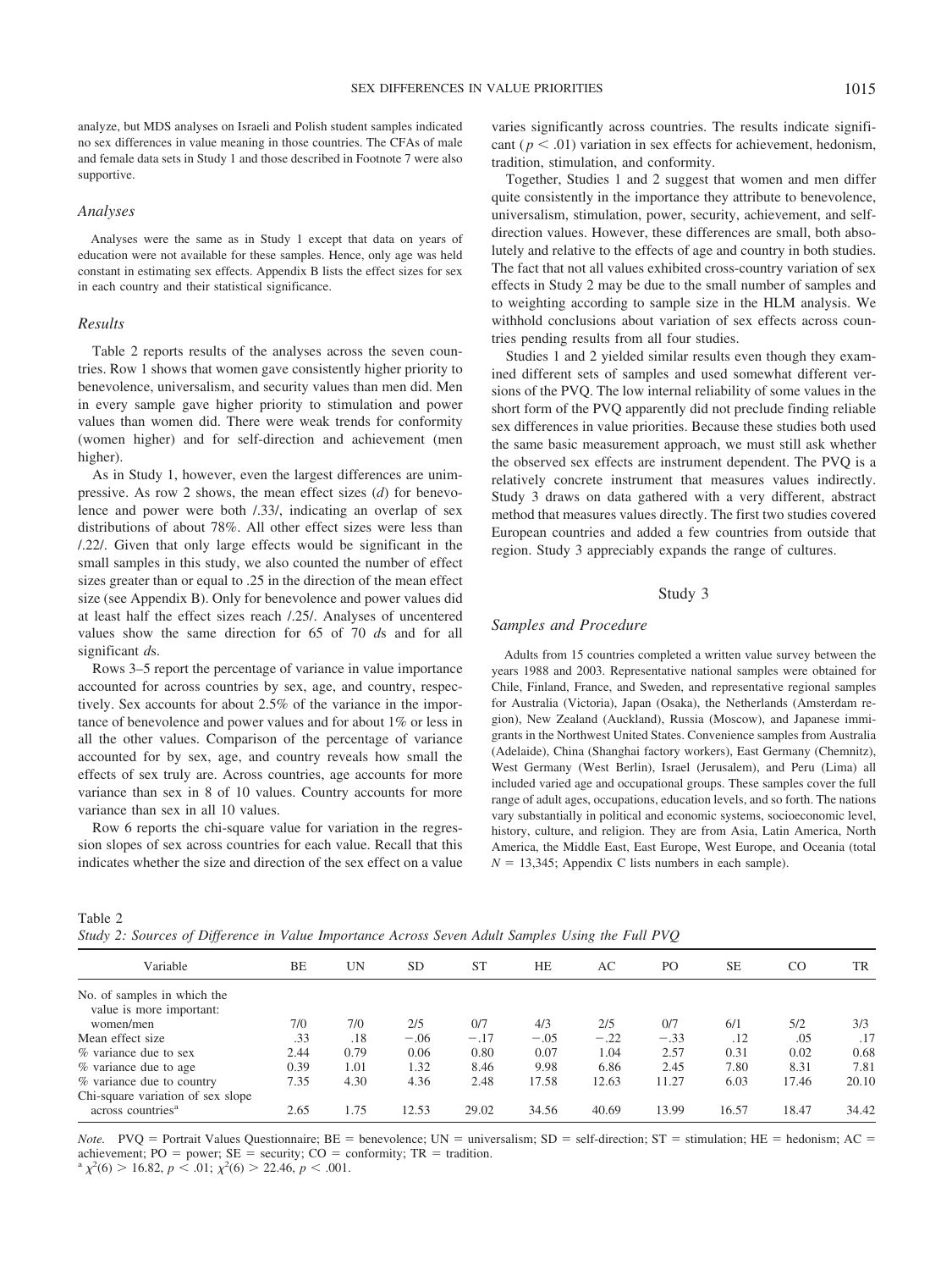analyze, but MDS analyses on Israeli and Polish student samples indicated no sex differences in value meaning in those countries. The CFAs of male and female data sets in Study 1 and those described in Footnote 7 were also supportive.

#### *Analyses*

Analyses were the same as in Study 1 except that data on years of education were not available for these samples. Hence, only age was held constant in estimating sex effects. Appendix B lists the effect sizes for sex in each country and their statistical significance.

# *Results*

Table 2 reports results of the analyses across the seven countries. Row 1 shows that women gave consistently higher priority to benevolence, universalism, and security values than men did. Men in every sample gave higher priority to stimulation and power values than women did. There were weak trends for conformity (women higher) and for self-direction and achievement (men higher).

As in Study 1, however, even the largest differences are unimpressive. As row 2 shows, the mean effect sizes (*d*) for benevolence and power were both /.33/, indicating an overlap of sex distributions of about 78%. All other effect sizes were less than /.22/. Given that only large effects would be significant in the small samples in this study, we also counted the number of effect sizes greater than or equal to .25 in the direction of the mean effect size (see Appendix B). Only for benevolence and power values did at least half the effect sizes reach /.25/. Analyses of uncentered values show the same direction for 65 of 70 *d*s and for all significant *d*s.

Rows 3–5 report the percentage of variance in value importance accounted for across countries by sex, age, and country, respectively. Sex accounts for about 2.5% of the variance in the importance of benevolence and power values and for about 1% or less in all the other values. Comparison of the percentage of variance accounted for by sex, age, and country reveals how small the effects of sex truly are. Across countries, age accounts for more variance than sex in 8 of 10 values. Country accounts for more variance than sex in all 10 values.

Row 6 reports the chi-square value for variation in the regression slopes of sex across countries for each value. Recall that this indicates whether the size and direction of the sex effect on a value varies significantly across countries. The results indicate significant ( $p < .01$ ) variation in sex effects for achievement, hedonism, tradition, stimulation, and conformity.

Together, Studies 1 and 2 suggest that women and men differ quite consistently in the importance they attribute to benevolence, universalism, stimulation, power, security, achievement, and selfdirection values. However, these differences are small, both absolutely and relative to the effects of age and country in both studies. The fact that not all values exhibited cross-country variation of sex effects in Study 2 may be due to the small number of samples and to weighting according to sample size in the HLM analysis. We withhold conclusions about variation of sex effects across countries pending results from all four studies.

Studies 1 and 2 yielded similar results even though they examined different sets of samples and used somewhat different versions of the PVQ. The low internal reliability of some values in the short form of the PVQ apparently did not preclude finding reliable sex differences in value priorities. Because these studies both used the same basic measurement approach, we must still ask whether the observed sex effects are instrument dependent. The PVQ is a relatively concrete instrument that measures values indirectly. Study 3 draws on data gathered with a very different, abstract method that measures values directly. The first two studies covered European countries and added a few countries from outside that region. Study 3 appreciably expands the range of cultures.

# Study 3

#### *Samples and Procedure*

Adults from 15 countries completed a written value survey between the years 1988 and 2003. Representative national samples were obtained for Chile, Finland, France, and Sweden, and representative regional samples for Australia (Victoria), Japan (Osaka), the Netherlands (Amsterdam region), New Zealand (Auckland), Russia (Moscow), and Japanese immigrants in the Northwest United States. Convenience samples from Australia (Adelaide), China (Shanghai factory workers), East Germany (Chemnitz), West Germany (West Berlin), Israel (Jerusalem), and Peru (Lima) all included varied age and occupational groups. These samples cover the full range of adult ages, occupations, education levels, and so forth. The nations vary substantially in political and economic systems, socioeconomic level, history, culture, and religion. They are from Asia, Latin America, North America, the Middle East, East Europe, West Europe, and Oceania (total  $N = 13,345$ ; Appendix C lists numbers in each sample).

|--|--|--|

*Study 2: Sources of Difference in Value Importance Across Seven Adult Samples Using the Full PVQ*

| Variable                          | BE   | <b>UN</b> | <b>SD</b> | <b>ST</b> | HE     | AC     | PO     | <b>SE</b> | CO    | TR    |
|-----------------------------------|------|-----------|-----------|-----------|--------|--------|--------|-----------|-------|-------|
| No. of samples in which the       |      |           |           |           |        |        |        |           |       |       |
| value is more important:          |      |           |           |           |        |        |        |           |       |       |
| women/men                         | 7/0  | 7/0       | 2/5       | 0/7       | 4/3    | 2/5    | 0/7    | 6/1       | 5/2   | 3/3   |
| Mean effect size                  | .33  | .18       | $-.06$    | $-.17$    | $-.05$ | $-.22$ | $-.33$ | .12       | .05   | .17   |
| % variance due to sex             | 2.44 | 0.79      | 0.06      | 0.80      | 0.07   | 1.04   | 2.57   | 0.31      | 0.02  | 0.68  |
| % variance due to age             | 0.39 | 1.01      | 1.32      | 8.46      | 9.98   | 6.86   | 2.45   | 7.80      | 8.31  | 7.81  |
| % variance due to country         | 7.35 | 4.30      | 4.36      | 2.48      | 17.58  | 12.63  | 11.27  | 6.03      | 17.46 | 20.10 |
| Chi-square variation of sex slope |      |           |           |           |        |        |        |           |       |       |
| across countries <sup>a</sup>     | 2.65 | 1.75      | 12.53     | 29.02     | 34.56  | 40.69  | 13.99  | 16.57     | 18.47 | 34.42 |

*Note.* PVQ = Portrait Values Questionnaire;  $BE =$  benevolence;  $UN =$  universalism;  $SD =$  self-direction;  $ST =$  stimulation;  $HE =$  hedonism;  $AC =$ achievement;  $PO = power$ ;  $SE = security$ ;  $CO = conformity$ ;  $TR = tradition$ .

 $(6) > 16.82, p < .01; \chi^2(6) > 22.46, p < .001.$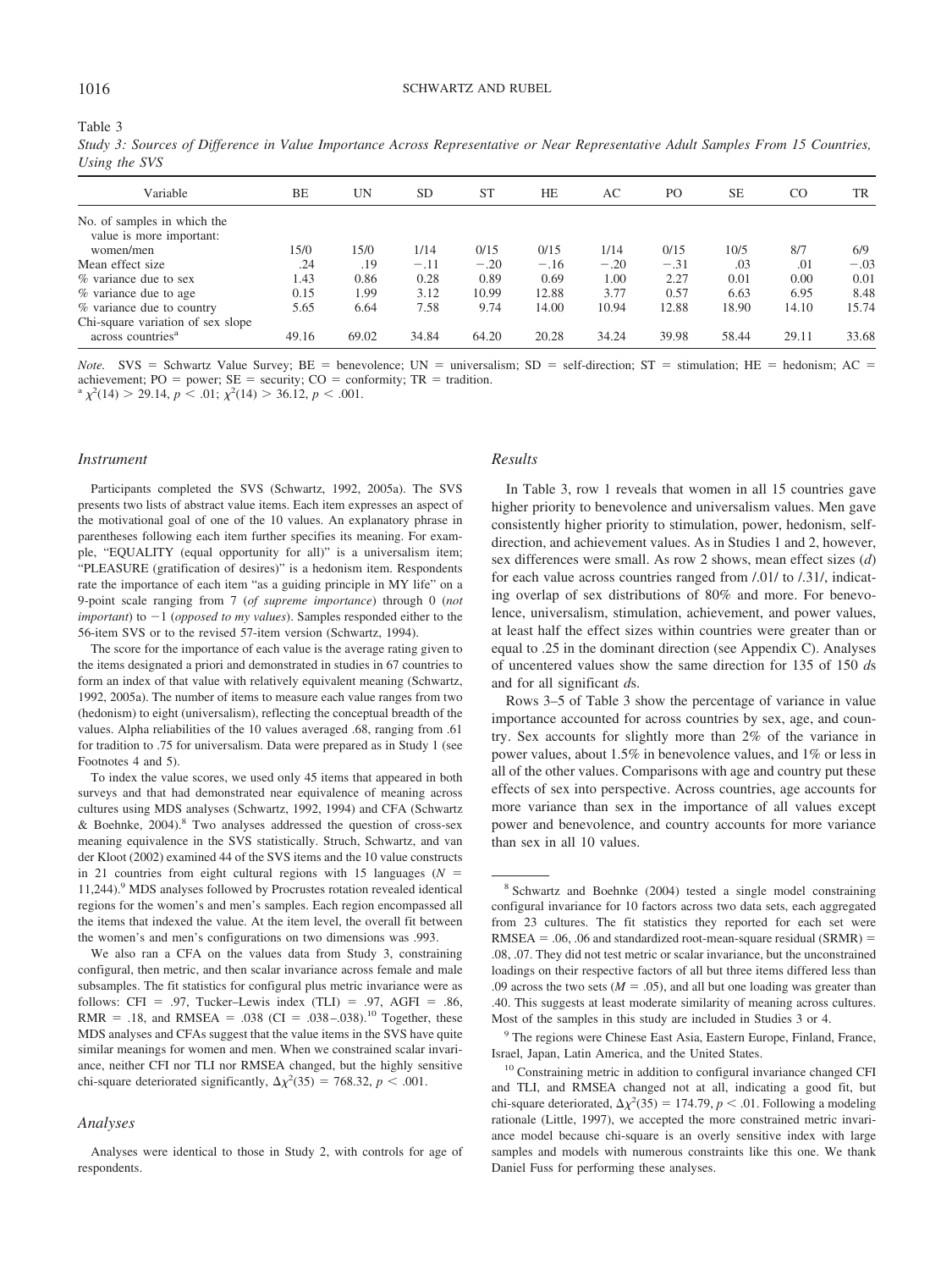Table 3

| Study 3: Sources of Difference in Value Importance Across Representative or Near Representative Adult Samples From 15 Countries, |  |  |  |
|----------------------------------------------------------------------------------------------------------------------------------|--|--|--|
| Using the SVS                                                                                                                    |  |  |  |

| Variable                          | BE    | <b>UN</b> | <b>SD</b> | <b>ST</b> | НE     | AC     | P <sub>O</sub> | <b>SE</b> | CO    | TR     |
|-----------------------------------|-------|-----------|-----------|-----------|--------|--------|----------------|-----------|-------|--------|
| No. of samples in which the       |       |           |           |           |        |        |                |           |       |        |
| value is more important:          |       |           |           |           |        |        |                |           |       |        |
| women/men                         | 15/0  | 15/0      | 1/14      | 0/15      | 0/15   | 1/14   | 0/15           | 10/5      | 8/7   | 6/9    |
| Mean effect size                  | .24   | .19       | $-.11$    | $-.20$    | $-.16$ | $-.20$ | $-.31$         | .03       | .01   | $-.03$ |
| % variance due to sex             | 1.43  | 0.86      | 0.28      | 0.89      | 0.69   | 1.00   | 2.27           | 0.01      | 0.00  | 0.01   |
| % variance due to age             | 0.15  | 1.99      | 3.12      | 10.99     | 12.88  | 3.77   | 0.57           | 6.63      | 6.95  | 8.48   |
| % variance due to country         | 5.65  | 6.64      | 7.58      | 9.74      | 14.00  | 10.94  | 12.88          | 18.90     | 14.10 | 15.74  |
| Chi-square variation of sex slope |       |           |           |           |        |        |                |           |       |        |
| across countries <sup>a</sup>     | 49.16 | 69.02     | 34.84     | 64.20     | 20.28  | 34.24  | 39.98          | 58.44     | 29.11 | 33.68  |
|                                   |       |           |           |           |        |        |                |           |       |        |

*Note.* SVS = Schwartz Value Survey;  $BE =$  benevolence;  $UN =$  universalism;  $SD =$  self-direction;  $ST =$  stimulation;  $HE =$  hedonism;  $AC =$ achievement;  $PO = power$ ;  $SE = security$ ;  $CO = conformity$ ;  $TR = tradition$ .  $(14)$  > 29.14,  $p \le 0.01$ ;  $\chi^2(14)$  > 36.12,  $p \le 0.001$ .

### *Instrument*

Participants completed the SVS (Schwartz, 1992, 2005a). The SVS presents two lists of abstract value items. Each item expresses an aspect of the motivational goal of one of the 10 values. An explanatory phrase in parentheses following each item further specifies its meaning. For example, "EQUALITY (equal opportunity for all)" is a universalism item; "PLEASURE (gratification of desires)" is a hedonism item. Respondents rate the importance of each item "as a guiding principle in MY life" on a 9-point scale ranging from 7 (*of supreme importance*) through 0 (*not important*) to  $-1$  (*opposed to my values*). Samples responded either to the 56-item SVS or to the revised 57-item version (Schwartz, 1994).

The score for the importance of each value is the average rating given to the items designated a priori and demonstrated in studies in 67 countries to form an index of that value with relatively equivalent meaning (Schwartz, 1992, 2005a). The number of items to measure each value ranges from two (hedonism) to eight (universalism), reflecting the conceptual breadth of the values. Alpha reliabilities of the 10 values averaged .68, ranging from .61 for tradition to .75 for universalism. Data were prepared as in Study 1 (see Footnotes 4 and 5).

To index the value scores, we used only 45 items that appeared in both surveys and that had demonstrated near equivalence of meaning across cultures using MDS analyses (Schwartz, 1992, 1994) and CFA (Schwartz  $&$  Boehnke, 2004).<sup>8</sup> Two analyses addressed the question of cross-sex meaning equivalence in the SVS statistically. Struch, Schwartz, and van der Kloot (2002) examined 44 of the SVS items and the 10 value constructs in 21 countries from eight cultural regions with 15 languages (*N* 11,244).9 MDS analyses followed by Procrustes rotation revealed identical regions for the women's and men's samples. Each region encompassed all the items that indexed the value. At the item level, the overall fit between the women's and men's configurations on two dimensions was .993.

We also ran a CFA on the values data from Study 3, constraining configural, then metric, and then scalar invariance across female and male subsamples. The fit statistics for configural plus metric invariance were as follows: CFI = .97, Tucker–Lewis index (TLI) = .97, AGFI = .86, RMR = .18, and RMSEA = .038 (CI = .038 –.038).<sup>10</sup> Together, these MDS analyses and CFAs suggest that the value items in the SVS have quite similar meanings for women and men. When we constrained scalar invariance, neither CFI nor TLI nor RMSEA changed, but the highly sensitive chi-square deteriorated significantly,  $\Delta \chi^2(35) = 768.32$ ,  $p < .001$ .

#### *Analyses*

#### *Results*

In Table 3, row 1 reveals that women in all 15 countries gave higher priority to benevolence and universalism values. Men gave consistently higher priority to stimulation, power, hedonism, selfdirection, and achievement values. As in Studies 1 and 2, however, sex differences were small. As row 2 shows, mean effect sizes (*d*) for each value across countries ranged from /.01/ to /.31/, indicating overlap of sex distributions of 80% and more. For benevolence, universalism, stimulation, achievement, and power values, at least half the effect sizes within countries were greater than or equal to .25 in the dominant direction (see Appendix C). Analyses of uncentered values show the same direction for 135 of 150 *d*s and for all significant *d*s.

Rows 3–5 of Table 3 show the percentage of variance in value importance accounted for across countries by sex, age, and country. Sex accounts for slightly more than 2% of the variance in power values, about 1.5% in benevolence values, and 1% or less in all of the other values. Comparisons with age and country put these effects of sex into perspective. Across countries, age accounts for more variance than sex in the importance of all values except power and benevolence, and country accounts for more variance than sex in all 10 values.

Analyses were identical to those in Study 2, with controls for age of respondents.

<sup>8</sup> Schwartz and Boehnke (2004) tested a single model constraining configural invariance for 10 factors across two data sets, each aggregated from 23 cultures. The fit statistics they reported for each set were  $RMSEA = .06$ , .06 and standardized root-mean-square residual ( $SRMR$ ) = .08, .07. They did not test metric or scalar invariance, but the unconstrained loadings on their respective factors of all but three items differed less than .09 across the two sets ( $M = .05$ ), and all but one loading was greater than .40. This suggests at least moderate similarity of meaning across cultures. Most of the samples in this study are included in Studies 3 or 4.

<sup>&</sup>lt;sup>9</sup> The regions were Chinese East Asia, Eastern Europe, Finland, France, Israel, Japan, Latin America, and the United States.

<sup>&</sup>lt;sup>10</sup> Constraining metric in addition to configural invariance changed CFI and TLI, and RMSEA changed not at all, indicating a good fit, but chi-square deteriorated,  $\Delta \chi^2(35) = 174.79$ ,  $p < .01$ . Following a modeling rationale (Little, 1997), we accepted the more constrained metric invariance model because chi-square is an overly sensitive index with large samples and models with numerous constraints like this one. We thank Daniel Fuss for performing these analyses.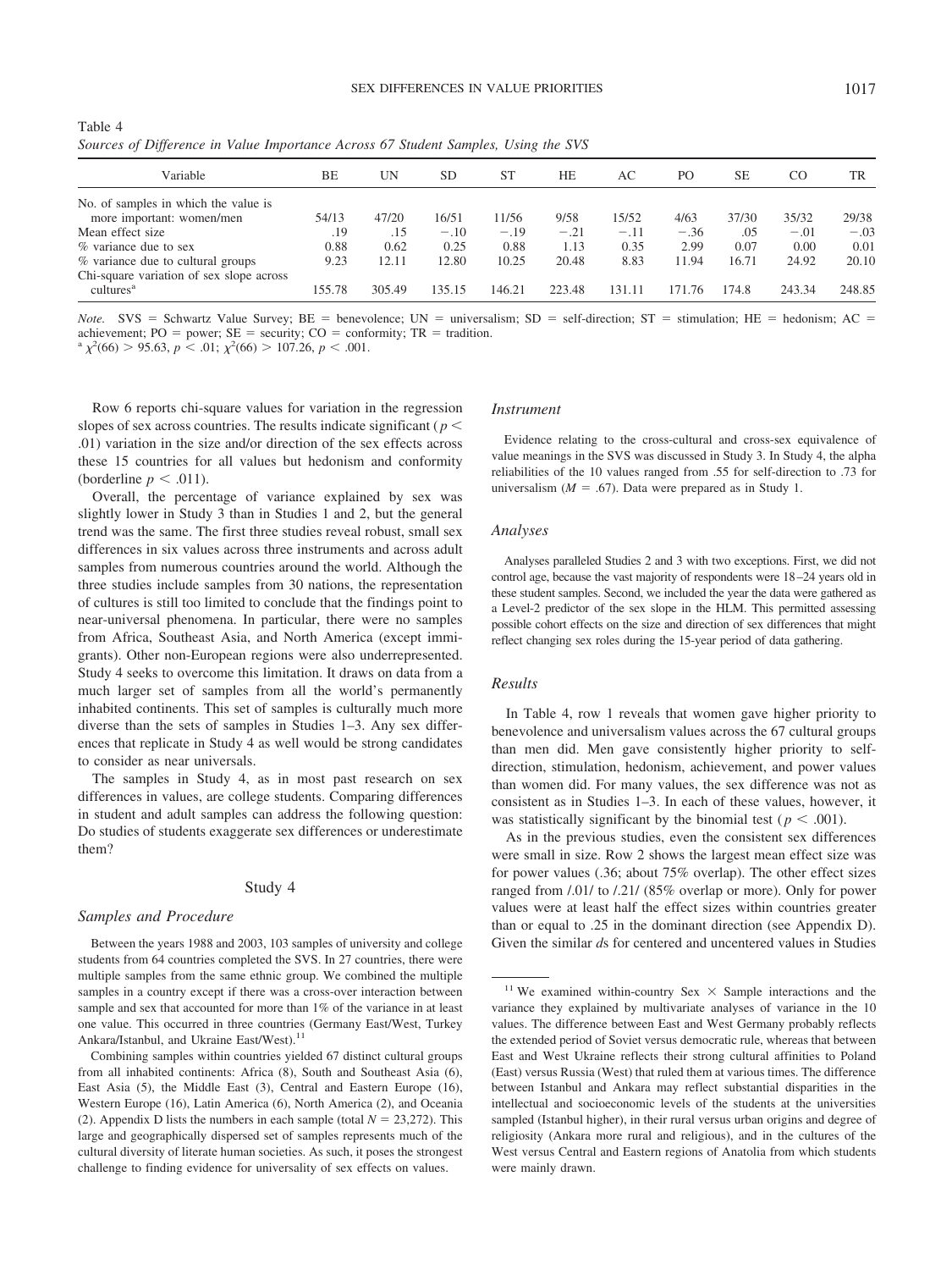| Table 4                                                                            |  |  |
|------------------------------------------------------------------------------------|--|--|
| Sources of Difference in Value Importance Across 67 Student Samples, Using the SVS |  |  |

| Variable                                 | BE     | UN     | SD     | <b>ST</b> | НE     | АC     | PО     | SЕ    | <sub>CO</sub> | TR.    |
|------------------------------------------|--------|--------|--------|-----------|--------|--------|--------|-------|---------------|--------|
| No. of samples in which the value is     |        |        |        |           |        |        |        |       |               |        |
| more important: women/men                | 54/13  | 47/20  | 16/51  | 11/56     | 9/58   | 15/52  | 4/63   | 37/30 | 35/32         | 29/38  |
| Mean effect size                         | .19    | .15    | $-.10$ | $-.19$    | $-.21$ | $-.11$ | $-.36$ | .05   | $-.01$        | $-.03$ |
| % variance due to sex                    | 0.88   | 0.62   | 0.25   | 0.88      | 1.13   | 0.35   | 2.99   | 0.07  | 0.00          | 0.01   |
| % variance due to cultural groups        | 9.23   | 12.11  | 12.80  | 10.25     | 20.48  | 8.83   | 11.94  | 16.71 | 24.92         | 20.10  |
| Chi-square variation of sex slope across |        |        |        |           |        |        |        |       |               |        |
| cultures <sup>a</sup>                    | 155.78 | 305.49 | 135.15 | 146.21    | 223.48 | 131.11 | 171.76 | 174.8 | 243.34        | 248.85 |

*Note.* SVS = Schwartz Value Survey; BE = benevolence; UN = universalism; SD = self-direction; ST = stimulation; HE = hedonism; AC = achievement;  $PO = power$ ;  $SE = security$ ;  $CO = \text{conformity}$ ;  $TR = \text{tradition}$ .  $(66) > 95.63, p < .01; \chi^2(66) > 107.26, p < .001.$ 

Row 6 reports chi-square values for variation in the regression slopes of sex across countries. The results indicate significant ( $p <$ .01) variation in the size and/or direction of the sex effects across these 15 countries for all values but hedonism and conformity (borderline  $p < .011$ ).

Overall, the percentage of variance explained by sex was slightly lower in Study 3 than in Studies 1 and 2, but the general trend was the same. The first three studies reveal robust, small sex differences in six values across three instruments and across adult samples from numerous countries around the world. Although the three studies include samples from 30 nations, the representation of cultures is still too limited to conclude that the findings point to near-universal phenomena. In particular, there were no samples from Africa, Southeast Asia, and North America (except immigrants). Other non-European regions were also underrepresented. Study 4 seeks to overcome this limitation. It draws on data from a much larger set of samples from all the world's permanently inhabited continents. This set of samples is culturally much more diverse than the sets of samples in Studies 1–3. Any sex differences that replicate in Study 4 as well would be strong candidates to consider as near universals.

The samples in Study 4, as in most past research on sex differences in values, are college students. Comparing differences in student and adult samples can address the following question: Do studies of students exaggerate sex differences or underestimate them?

#### Study 4

# *Samples and Procedure*

Between the years 1988 and 2003, 103 samples of university and college students from 64 countries completed the SVS. In 27 countries, there were multiple samples from the same ethnic group. We combined the multiple samples in a country except if there was a cross-over interaction between sample and sex that accounted for more than 1% of the variance in at least one value. This occurred in three countries (Germany East/West, Turkey Ankara/Istanbul, and Ukraine East/West).<sup>11</sup>

#### *Instrument*

Evidence relating to the cross-cultural and cross-sex equivalence of value meanings in the SVS was discussed in Study 3. In Study 4, the alpha reliabilities of the 10 values ranged from .55 for self-direction to .73 for universalism  $(M = .67)$ . Data were prepared as in Study 1.

# *Analyses*

Analyses paralleled Studies 2 and 3 with two exceptions. First, we did not control age, because the vast majority of respondents were 18 –24 years old in these student samples. Second, we included the year the data were gathered as a Level-2 predictor of the sex slope in the HLM. This permitted assessing possible cohort effects on the size and direction of sex differences that might reflect changing sex roles during the 15-year period of data gathering.

# *Results*

In Table 4, row 1 reveals that women gave higher priority to benevolence and universalism values across the 67 cultural groups than men did. Men gave consistently higher priority to selfdirection, stimulation, hedonism, achievement, and power values than women did. For many values, the sex difference was not as consistent as in Studies 1–3. In each of these values, however, it was statistically significant by the binomial test ( $p < .001$ ).

As in the previous studies, even the consistent sex differences were small in size. Row 2 shows the largest mean effect size was for power values (.36; about 75% overlap). The other effect sizes ranged from /.01/ to /.21/ (85% overlap or more). Only for power values were at least half the effect sizes within countries greater than or equal to .25 in the dominant direction (see Appendix D). Given the similar *d*s for centered and uncentered values in Studies

Combining samples within countries yielded 67 distinct cultural groups from all inhabited continents: Africa (8), South and Southeast Asia (6), East Asia (5), the Middle East (3), Central and Eastern Europe (16), Western Europe (16), Latin America (6), North America (2), and Oceania (2). Appendix D lists the numbers in each sample (total  $N = 23,272$ ). This large and geographically dispersed set of samples represents much of the cultural diversity of literate human societies. As such, it poses the strongest challenge to finding evidence for universality of sex effects on values.

<sup>&</sup>lt;sup>11</sup> We examined within-country Sex  $\times$  Sample interactions and the variance they explained by multivariate analyses of variance in the 10 values. The difference between East and West Germany probably reflects the extended period of Soviet versus democratic rule, whereas that between East and West Ukraine reflects their strong cultural affinities to Poland (East) versus Russia (West) that ruled them at various times. The difference between Istanbul and Ankara may reflect substantial disparities in the intellectual and socioeconomic levels of the students at the universities sampled (Istanbul higher), in their rural versus urban origins and degree of religiosity (Ankara more rural and religious), and in the cultures of the West versus Central and Eastern regions of Anatolia from which students were mainly drawn.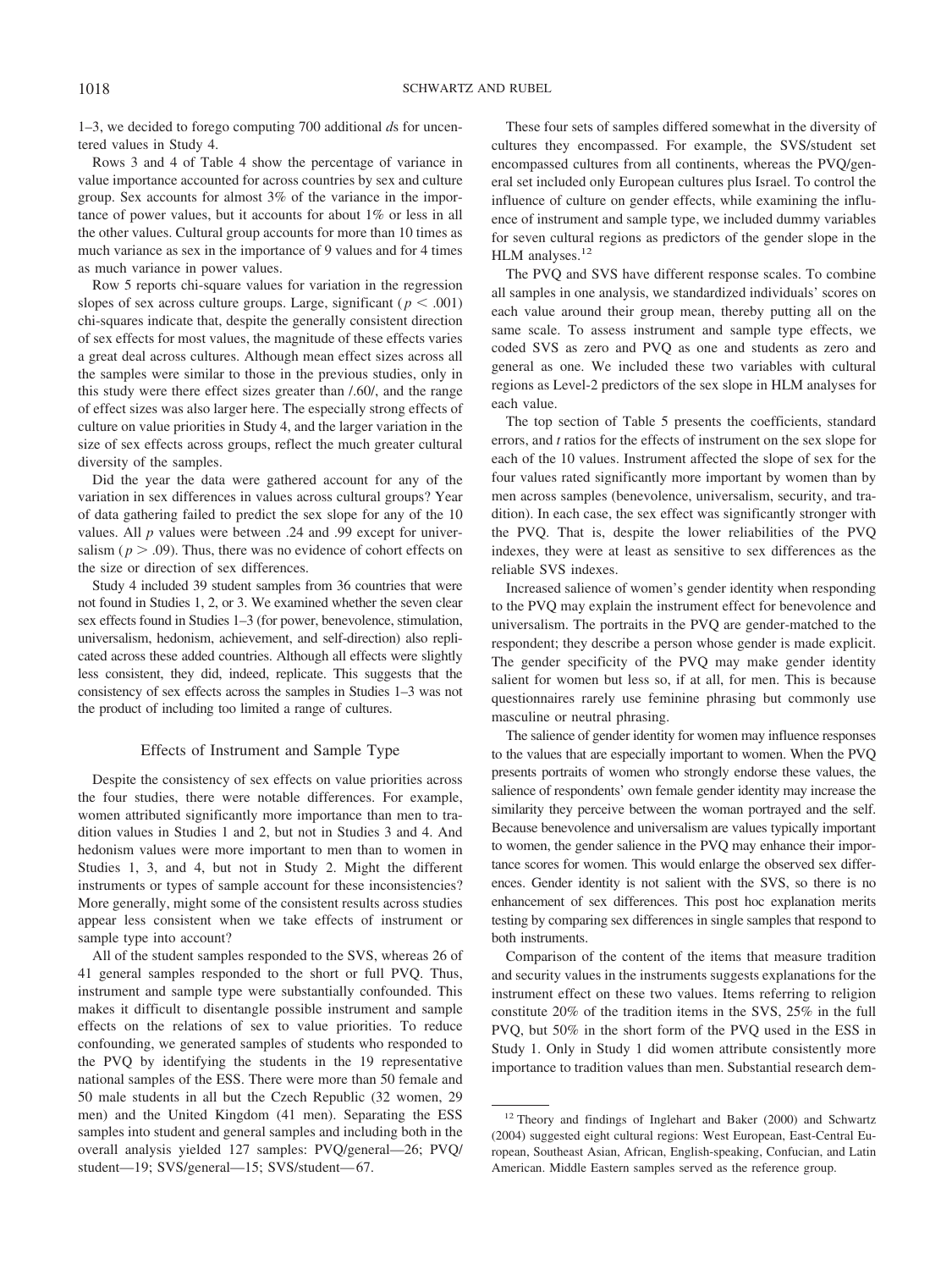1–3, we decided to forego computing 700 additional *d*s for uncentered values in Study 4.

Rows 3 and 4 of Table 4 show the percentage of variance in value importance accounted for across countries by sex and culture group. Sex accounts for almost 3% of the variance in the importance of power values, but it accounts for about 1% or less in all the other values. Cultural group accounts for more than 10 times as much variance as sex in the importance of 9 values and for 4 times as much variance in power values.

Row 5 reports chi-square values for variation in the regression slopes of sex across culture groups. Large, significant ( $p < .001$ ) chi-squares indicate that, despite the generally consistent direction of sex effects for most values, the magnitude of these effects varies a great deal across cultures. Although mean effect sizes across all the samples were similar to those in the previous studies, only in this study were there effect sizes greater than /.60/, and the range of effect sizes was also larger here. The especially strong effects of culture on value priorities in Study 4, and the larger variation in the size of sex effects across groups, reflect the much greater cultural diversity of the samples.

Did the year the data were gathered account for any of the variation in sex differences in values across cultural groups? Year of data gathering failed to predict the sex slope for any of the 10 values. All *p* values were between .24 and .99 except for universalism ( $p > .09$ ). Thus, there was no evidence of cohort effects on the size or direction of sex differences.

Study 4 included 39 student samples from 36 countries that were not found in Studies 1, 2, or 3. We examined whether the seven clear sex effects found in Studies 1–3 (for power, benevolence, stimulation, universalism, hedonism, achievement, and self-direction) also replicated across these added countries. Although all effects were slightly less consistent, they did, indeed, replicate. This suggests that the consistency of sex effects across the samples in Studies 1–3 was not the product of including too limited a range of cultures.

# Effects of Instrument and Sample Type

Despite the consistency of sex effects on value priorities across the four studies, there were notable differences. For example, women attributed significantly more importance than men to tradition values in Studies 1 and 2, but not in Studies 3 and 4. And hedonism values were more important to men than to women in Studies 1, 3, and 4, but not in Study 2. Might the different instruments or types of sample account for these inconsistencies? More generally, might some of the consistent results across studies appear less consistent when we take effects of instrument or sample type into account?

All of the student samples responded to the SVS, whereas 26 of 41 general samples responded to the short or full PVQ. Thus, instrument and sample type were substantially confounded. This makes it difficult to disentangle possible instrument and sample effects on the relations of sex to value priorities. To reduce confounding, we generated samples of students who responded to the PVQ by identifying the students in the 19 representative national samples of the ESS. There were more than 50 female and 50 male students in all but the Czech Republic (32 women, 29 men) and the United Kingdom (41 men). Separating the ESS samples into student and general samples and including both in the overall analysis yielded 127 samples: PVQ/general—26; PVQ/ student—19; SVS/general—15; SVS/student—67.

These four sets of samples differed somewhat in the diversity of cultures they encompassed. For example, the SVS/student set encompassed cultures from all continents, whereas the PVQ/general set included only European cultures plus Israel. To control the influence of culture on gender effects, while examining the influence of instrument and sample type, we included dummy variables for seven cultural regions as predictors of the gender slope in the HLM analyses.<sup>12</sup>

The PVQ and SVS have different response scales. To combine all samples in one analysis, we standardized individuals' scores on each value around their group mean, thereby putting all on the same scale. To assess instrument and sample type effects, we coded SVS as zero and PVQ as one and students as zero and general as one. We included these two variables with cultural regions as Level-2 predictors of the sex slope in HLM analyses for each value.

The top section of Table 5 presents the coefficients, standard errors, and *t* ratios for the effects of instrument on the sex slope for each of the 10 values. Instrument affected the slope of sex for the four values rated significantly more important by women than by men across samples (benevolence, universalism, security, and tradition). In each case, the sex effect was significantly stronger with the PVQ. That is, despite the lower reliabilities of the PVQ indexes, they were at least as sensitive to sex differences as the reliable SVS indexes.

Increased salience of women's gender identity when responding to the PVQ may explain the instrument effect for benevolence and universalism. The portraits in the PVQ are gender-matched to the respondent; they describe a person whose gender is made explicit. The gender specificity of the PVQ may make gender identity salient for women but less so, if at all, for men. This is because questionnaires rarely use feminine phrasing but commonly use masculine or neutral phrasing.

The salience of gender identity for women may influence responses to the values that are especially important to women. When the PVQ presents portraits of women who strongly endorse these values, the salience of respondents' own female gender identity may increase the similarity they perceive between the woman portrayed and the self. Because benevolence and universalism are values typically important to women, the gender salience in the PVQ may enhance their importance scores for women. This would enlarge the observed sex differences. Gender identity is not salient with the SVS, so there is no enhancement of sex differences. This post hoc explanation merits testing by comparing sex differences in single samples that respond to both instruments.

Comparison of the content of the items that measure tradition and security values in the instruments suggests explanations for the instrument effect on these two values. Items referring to religion constitute 20% of the tradition items in the SVS, 25% in the full PVQ, but 50% in the short form of the PVQ used in the ESS in Study 1. Only in Study 1 did women attribute consistently more importance to tradition values than men. Substantial research dem-

<sup>&</sup>lt;sup>12</sup> Theory and findings of Inglehart and Baker (2000) and Schwartz (2004) suggested eight cultural regions: West European, East-Central European, Southeast Asian, African, English-speaking, Confucian, and Latin American. Middle Eastern samples served as the reference group.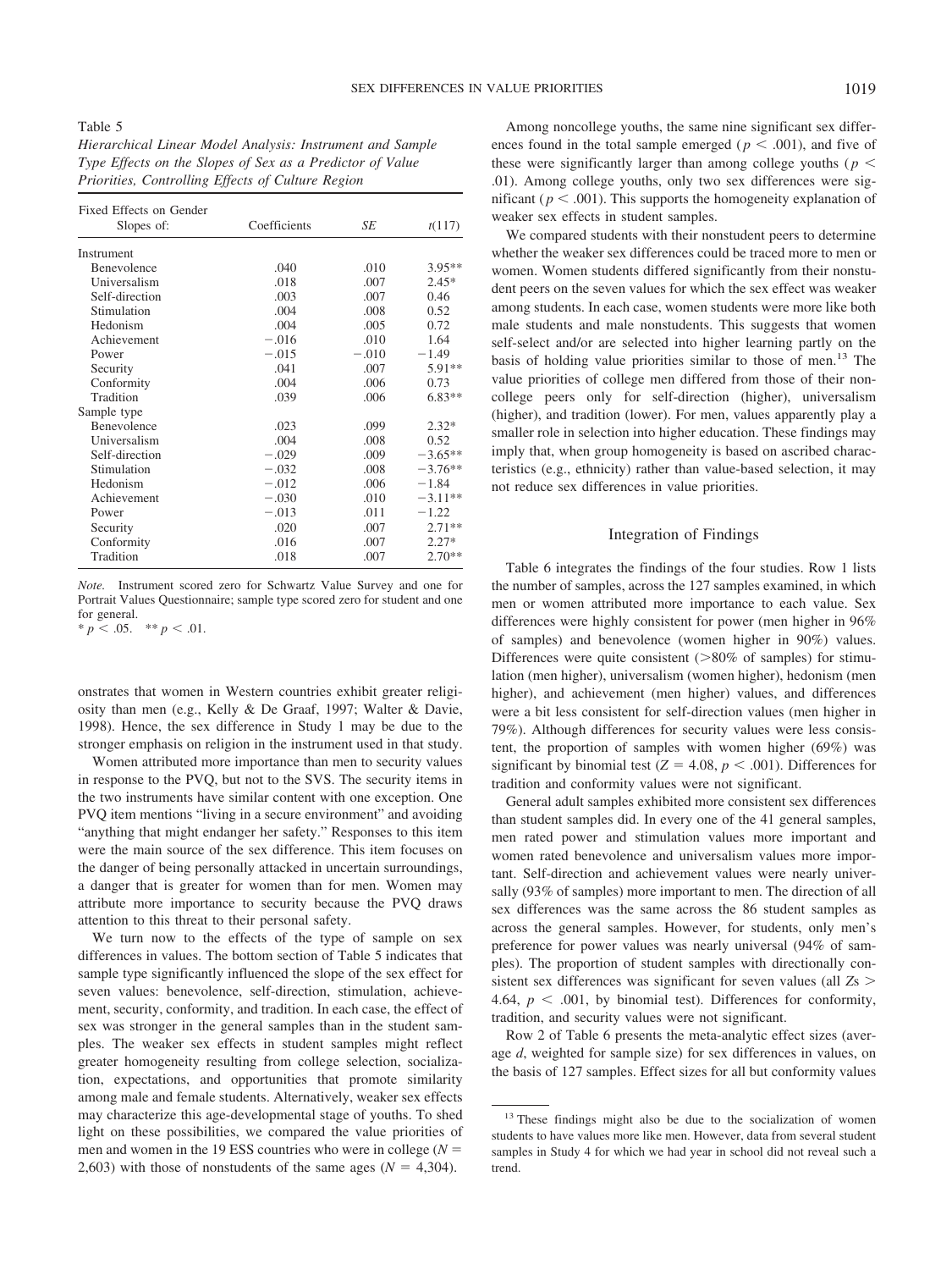#### Table 5

*Hierarchical Linear Model Analysis: Instrument and Sample Type Effects on the Slopes of Sex as a Predictor of Value Priorities, Controlling Effects of Culture Region*

| Fixed Effects on Gender |              |         |           |
|-------------------------|--------------|---------|-----------|
| Slopes of:              | Coefficients | SE      | t(117)    |
| Instrument              |              |         |           |
| <b>Benevolence</b>      | .040         | .010    | $3.95**$  |
| Universalism            | .018         | .007    | $2.45*$   |
| Self-direction          | .003         | .007    | 0.46      |
| Stimulation             | .004         | .008    | 0.52      |
| Hedonism                | .004         | .005    | 0.72      |
| Achievement             | $-.016$      | .010    | 1.64      |
| Power                   | $-.015$      | $-.010$ | $-1.49$   |
| Security                | .041         | .007    | $5.91**$  |
| Conformity              | .004         | .006    | 0.73      |
| Tradition               | .039         | .006    | $6.83**$  |
| Sample type             |              |         |           |
| <b>Benevolence</b>      | .023         | .099    | $2.32*$   |
| Universalism            | .004         | .008    | 0.52      |
| Self-direction          | $-.029$      | .009    | $-3.65**$ |
| Stimulation             | $-.032$      | .008    | $-3.76**$ |
| Hedonism                | $-.012$      | .006    | $-1.84$   |
| Achievement             | $-.030$      | .010    | $-3.11**$ |
| Power                   | $-.013$      | .011    | $-1.22$   |
| Security                | .020         | .007    | $2.71**$  |
| Conformity              | .016         | .007    | $2.27*$   |
| Tradition               | .018         | .007    | $2.70**$  |

*Note.* Instrument scored zero for Schwartz Value Survey and one for Portrait Values Questionnaire; sample type scored zero for student and one for general.

 $* p < .05.$  \*\*  $p < .01.$ 

onstrates that women in Western countries exhibit greater religiosity than men (e.g., Kelly & De Graaf, 1997; Walter & Davie, 1998). Hence, the sex difference in Study 1 may be due to the stronger emphasis on religion in the instrument used in that study.

Women attributed more importance than men to security values in response to the PVQ, but not to the SVS. The security items in the two instruments have similar content with one exception. One PVQ item mentions "living in a secure environment" and avoiding "anything that might endanger her safety." Responses to this item were the main source of the sex difference. This item focuses on the danger of being personally attacked in uncertain surroundings, a danger that is greater for women than for men. Women may attribute more importance to security because the PVQ draws attention to this threat to their personal safety.

We turn now to the effects of the type of sample on sex differences in values. The bottom section of Table 5 indicates that sample type significantly influenced the slope of the sex effect for seven values: benevolence, self-direction, stimulation, achievement, security, conformity, and tradition. In each case, the effect of sex was stronger in the general samples than in the student samples. The weaker sex effects in student samples might reflect greater homogeneity resulting from college selection, socialization, expectations, and opportunities that promote similarity among male and female students. Alternatively, weaker sex effects may characterize this age-developmental stage of youths. To shed light on these possibilities, we compared the value priorities of men and women in the 19 ESS countries who were in college (*N* 2,603) with those of nonstudents of the same ages ( $N = 4,304$ ).

Among noncollege youths, the same nine significant sex differences found in the total sample emerged ( $p < .001$ ), and five of these were significantly larger than among college youths ( $p <$ .01). Among college youths, only two sex differences were significant ( $p < .001$ ). This supports the homogeneity explanation of weaker sex effects in student samples.

We compared students with their nonstudent peers to determine whether the weaker sex differences could be traced more to men or women. Women students differed significantly from their nonstudent peers on the seven values for which the sex effect was weaker among students. In each case, women students were more like both male students and male nonstudents. This suggests that women self-select and/or are selected into higher learning partly on the basis of holding value priorities similar to those of men.13 The value priorities of college men differed from those of their noncollege peers only for self-direction (higher), universalism (higher), and tradition (lower). For men, values apparently play a smaller role in selection into higher education. These findings may imply that, when group homogeneity is based on ascribed characteristics (e.g., ethnicity) rather than value-based selection, it may not reduce sex differences in value priorities.

#### Integration of Findings

Table 6 integrates the findings of the four studies. Row 1 lists the number of samples, across the 127 samples examined, in which men or women attributed more importance to each value. Sex differences were highly consistent for power (men higher in 96% of samples) and benevolence (women higher in 90%) values. Differences were quite consistent  $(>\!\!80\%$  of samples) for stimulation (men higher), universalism (women higher), hedonism (men higher), and achievement (men higher) values, and differences were a bit less consistent for self-direction values (men higher in 79%). Although differences for security values were less consistent, the proportion of samples with women higher (69%) was significant by binomial test ( $Z = 4.08$ ,  $p < .001$ ). Differences for tradition and conformity values were not significant.

General adult samples exhibited more consistent sex differences than student samples did. In every one of the 41 general samples, men rated power and stimulation values more important and women rated benevolence and universalism values more important. Self-direction and achievement values were nearly universally (93% of samples) more important to men. The direction of all sex differences was the same across the 86 student samples as across the general samples. However, for students, only men's preference for power values was nearly universal (94% of samples). The proportion of student samples with directionally consistent sex differences was significant for seven values (all *Z*s 4.64,  $p < .001$ , by binomial test). Differences for conformity, tradition, and security values were not significant.

Row 2 of Table 6 presents the meta-analytic effect sizes (average *d*, weighted for sample size) for sex differences in values, on the basis of 127 samples. Effect sizes for all but conformity values

<sup>&</sup>lt;sup>13</sup> These findings might also be due to the socialization of women students to have values more like men. However, data from several student samples in Study 4 for which we had year in school did not reveal such a trend.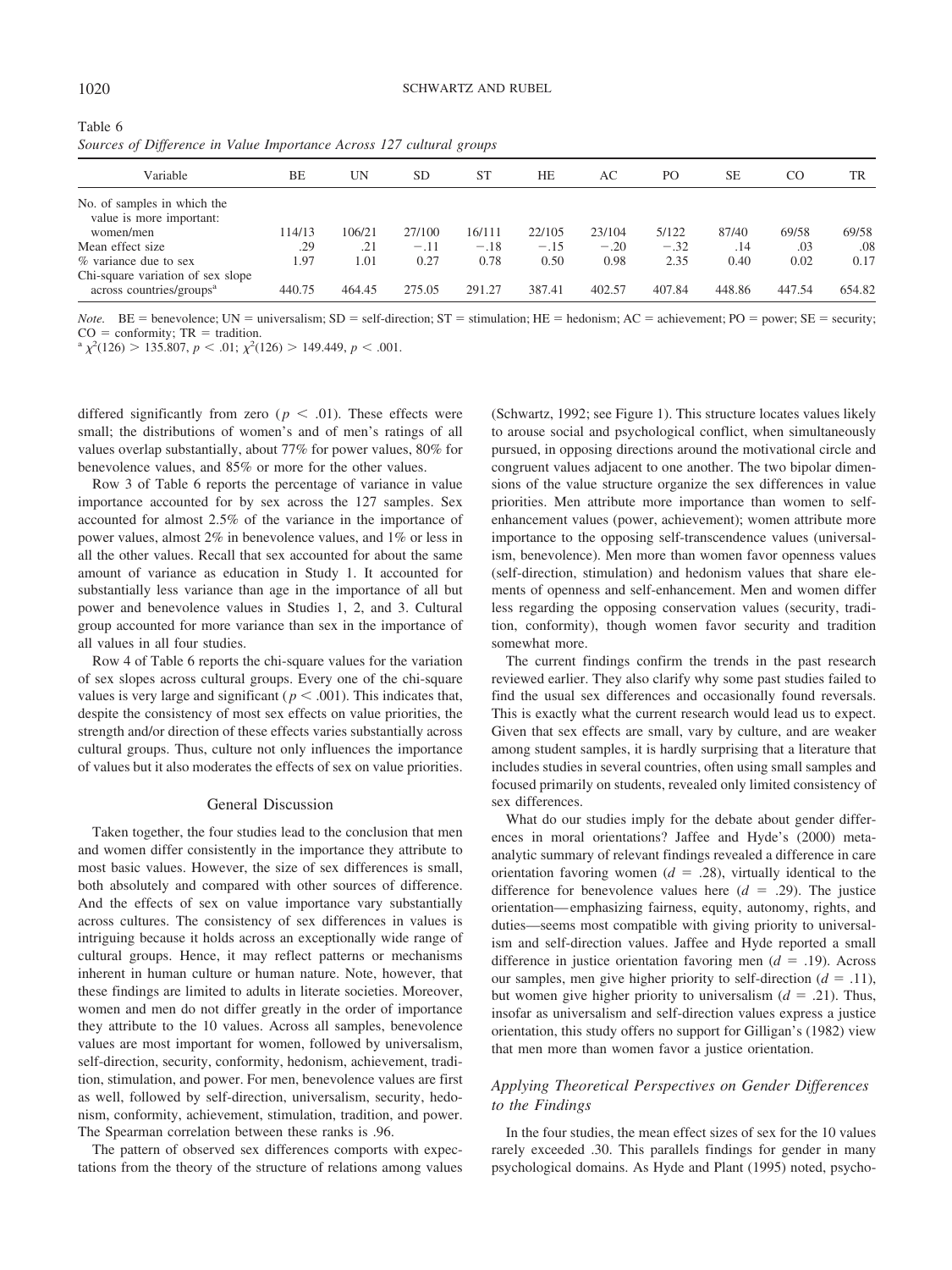| Sources of Difference in Value Importance Across 127 cultural groups |  |  |  |
|----------------------------------------------------------------------|--|--|--|
| Table 6                                                              |  |  |  |

| Variable                                                                  | BE     | UN     | <b>SD</b> | <b>ST</b> | HE     | AC     | PO.    | <b>SE</b> | CO     | TR     |
|---------------------------------------------------------------------------|--------|--------|-----------|-----------|--------|--------|--------|-----------|--------|--------|
| No. of samples in which the<br>value is more important:                   |        |        |           |           |        |        |        |           |        |        |
| women/men                                                                 | 114/13 | 106/21 | 27/100    | 16/111    | 22/105 | 23/104 | 5/122  | 87/40     | 69/58  | 69/58  |
| Mean effect size                                                          | .29    | .21    | $-.11$    | $-.18$    | $-.15$ | $-.20$ | $-.32$ | .14       | .03    | .08    |
| % variance due to sex                                                     | .97    | 1.01   | 0.27      | 0.78      | 0.50   | 0.98   | 2.35   | 0.40      | 0.02   | 0.17   |
| Chi-square variation of sex slope<br>across countries/groups <sup>a</sup> | 440.75 | 464.45 | 275.05    | 291.27    | 387.41 | 402.57 | 407.84 | 448.86    | 447.54 | 654.82 |

*Note.* BE = benevolence; UN = universalism; SD = self-direction; ST = stimulation; HE = hedonism; AC = achievement; PO = power; SE = security; CO = conformity; TR = tradition.<br><sup>a</sup>  $\chi^2(126) > 135.807$ ,  $p < .01$ ;  $\chi^2(126) > 149.449$ ,  $p < .001$ .

differed significantly from zero ( $p < .01$ ). These effects were small; the distributions of women's and of men's ratings of all values overlap substantially, about 77% for power values, 80% for benevolence values, and 85% or more for the other values.

Row 3 of Table 6 reports the percentage of variance in value importance accounted for by sex across the 127 samples. Sex accounted for almost 2.5% of the variance in the importance of power values, almost 2% in benevolence values, and 1% or less in all the other values. Recall that sex accounted for about the same amount of variance as education in Study 1. It accounted for substantially less variance than age in the importance of all but power and benevolence values in Studies 1, 2, and 3. Cultural group accounted for more variance than sex in the importance of all values in all four studies.

Row 4 of Table 6 reports the chi-square values for the variation of sex slopes across cultural groups. Every one of the chi-square values is very large and significant ( $p < .001$ ). This indicates that, despite the consistency of most sex effects on value priorities, the strength and/or direction of these effects varies substantially across cultural groups. Thus, culture not only influences the importance of values but it also moderates the effects of sex on value priorities.

# General Discussion

Taken together, the four studies lead to the conclusion that men and women differ consistently in the importance they attribute to most basic values. However, the size of sex differences is small, both absolutely and compared with other sources of difference. And the effects of sex on value importance vary substantially across cultures. The consistency of sex differences in values is intriguing because it holds across an exceptionally wide range of cultural groups. Hence, it may reflect patterns or mechanisms inherent in human culture or human nature. Note, however, that these findings are limited to adults in literate societies. Moreover, women and men do not differ greatly in the order of importance they attribute to the 10 values. Across all samples, benevolence values are most important for women, followed by universalism, self-direction, security, conformity, hedonism, achievement, tradition, stimulation, and power. For men, benevolence values are first as well, followed by self-direction, universalism, security, hedonism, conformity, achievement, stimulation, tradition, and power. The Spearman correlation between these ranks is .96.

The pattern of observed sex differences comports with expectations from the theory of the structure of relations among values (Schwartz, 1992; see Figure 1). This structure locates values likely to arouse social and psychological conflict, when simultaneously pursued, in opposing directions around the motivational circle and congruent values adjacent to one another. The two bipolar dimensions of the value structure organize the sex differences in value priorities. Men attribute more importance than women to selfenhancement values (power, achievement); women attribute more importance to the opposing self-transcendence values (universalism, benevolence). Men more than women favor openness values (self-direction, stimulation) and hedonism values that share elements of openness and self-enhancement. Men and women differ less regarding the opposing conservation values (security, tradition, conformity), though women favor security and tradition somewhat more.

The current findings confirm the trends in the past research reviewed earlier. They also clarify why some past studies failed to find the usual sex differences and occasionally found reversals. This is exactly what the current research would lead us to expect. Given that sex effects are small, vary by culture, and are weaker among student samples, it is hardly surprising that a literature that includes studies in several countries, often using small samples and focused primarily on students, revealed only limited consistency of sex differences.

What do our studies imply for the debate about gender differences in moral orientations? Jaffee and Hyde's (2000) metaanalytic summary of relevant findings revealed a difference in care orientation favoring women  $(d = .28)$ , virtually identical to the difference for benevolence values here  $(d = .29)$ . The justice orientation— emphasizing fairness, equity, autonomy, rights, and duties—seems most compatible with giving priority to universalism and self-direction values. Jaffee and Hyde reported a small difference in justice orientation favoring men  $(d = .19)$ . Across our samples, men give higher priority to self-direction  $(d = .11)$ , but women give higher priority to universalism  $(d = .21)$ . Thus, insofar as universalism and self-direction values express a justice orientation, this study offers no support for Gilligan's (1982) view that men more than women favor a justice orientation.

# *Applying Theoretical Perspectives on Gender Differences to the Findings*

In the four studies, the mean effect sizes of sex for the 10 values rarely exceeded .30. This parallels findings for gender in many psychological domains. As Hyde and Plant (1995) noted, psycho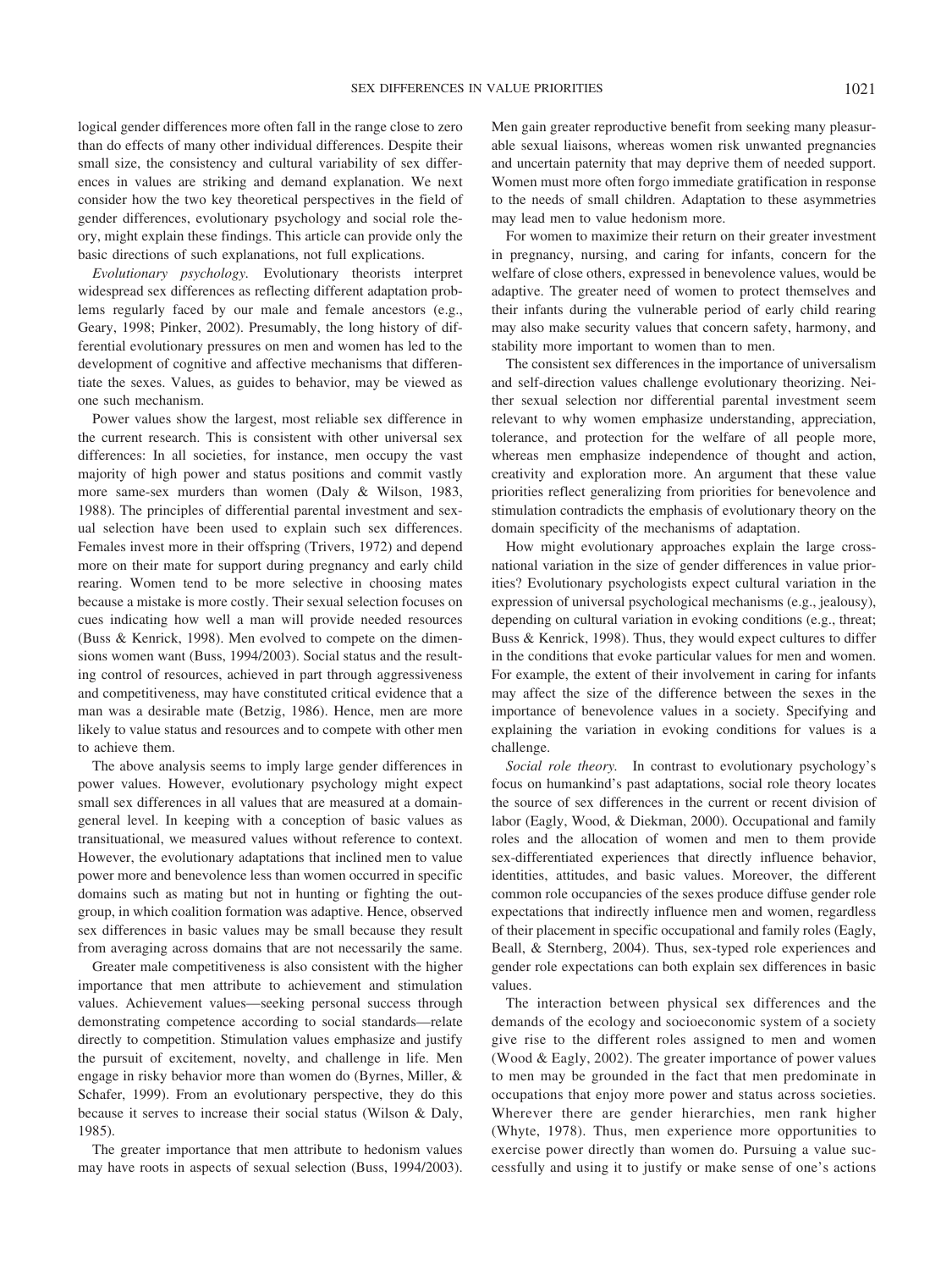logical gender differences more often fall in the range close to zero than do effects of many other individual differences. Despite their small size, the consistency and cultural variability of sex differences in values are striking and demand explanation. We next consider how the two key theoretical perspectives in the field of gender differences, evolutionary psychology and social role theory, might explain these findings. This article can provide only the basic directions of such explanations, not full explications.

*Evolutionary psychology.* Evolutionary theorists interpret widespread sex differences as reflecting different adaptation problems regularly faced by our male and female ancestors (e.g., Geary, 1998; Pinker, 2002). Presumably, the long history of differential evolutionary pressures on men and women has led to the development of cognitive and affective mechanisms that differentiate the sexes. Values, as guides to behavior, may be viewed as one such mechanism.

Power values show the largest, most reliable sex difference in the current research. This is consistent with other universal sex differences: In all societies, for instance, men occupy the vast majority of high power and status positions and commit vastly more same-sex murders than women (Daly & Wilson, 1983, 1988). The principles of differential parental investment and sexual selection have been used to explain such sex differences. Females invest more in their offspring (Trivers, 1972) and depend more on their mate for support during pregnancy and early child rearing. Women tend to be more selective in choosing mates because a mistake is more costly. Their sexual selection focuses on cues indicating how well a man will provide needed resources (Buss & Kenrick, 1998). Men evolved to compete on the dimensions women want (Buss, 1994/2003). Social status and the resulting control of resources, achieved in part through aggressiveness and competitiveness, may have constituted critical evidence that a man was a desirable mate (Betzig, 1986). Hence, men are more likely to value status and resources and to compete with other men to achieve them.

The above analysis seems to imply large gender differences in power values. However, evolutionary psychology might expect small sex differences in all values that are measured at a domaingeneral level. In keeping with a conception of basic values as transituational, we measured values without reference to context. However, the evolutionary adaptations that inclined men to value power more and benevolence less than women occurred in specific domains such as mating but not in hunting or fighting the outgroup, in which coalition formation was adaptive. Hence, observed sex differences in basic values may be small because they result from averaging across domains that are not necessarily the same.

Greater male competitiveness is also consistent with the higher importance that men attribute to achievement and stimulation values. Achievement values—seeking personal success through demonstrating competence according to social standards—relate directly to competition. Stimulation values emphasize and justify the pursuit of excitement, novelty, and challenge in life. Men engage in risky behavior more than women do (Byrnes, Miller, & Schafer, 1999). From an evolutionary perspective, they do this because it serves to increase their social status (Wilson & Daly, 1985).

The greater importance that men attribute to hedonism values may have roots in aspects of sexual selection (Buss, 1994/2003). Men gain greater reproductive benefit from seeking many pleasurable sexual liaisons, whereas women risk unwanted pregnancies and uncertain paternity that may deprive them of needed support. Women must more often forgo immediate gratification in response to the needs of small children. Adaptation to these asymmetries may lead men to value hedonism more.

For women to maximize their return on their greater investment in pregnancy, nursing, and caring for infants, concern for the welfare of close others, expressed in benevolence values, would be adaptive. The greater need of women to protect themselves and their infants during the vulnerable period of early child rearing may also make security values that concern safety, harmony, and stability more important to women than to men.

The consistent sex differences in the importance of universalism and self-direction values challenge evolutionary theorizing. Neither sexual selection nor differential parental investment seem relevant to why women emphasize understanding, appreciation, tolerance, and protection for the welfare of all people more, whereas men emphasize independence of thought and action, creativity and exploration more. An argument that these value priorities reflect generalizing from priorities for benevolence and stimulation contradicts the emphasis of evolutionary theory on the domain specificity of the mechanisms of adaptation.

How might evolutionary approaches explain the large crossnational variation in the size of gender differences in value priorities? Evolutionary psychologists expect cultural variation in the expression of universal psychological mechanisms (e.g., jealousy), depending on cultural variation in evoking conditions (e.g., threat; Buss & Kenrick, 1998). Thus, they would expect cultures to differ in the conditions that evoke particular values for men and women. For example, the extent of their involvement in caring for infants may affect the size of the difference between the sexes in the importance of benevolence values in a society. Specifying and explaining the variation in evoking conditions for values is a challenge.

*Social role theory.* In contrast to evolutionary psychology's focus on humankind's past adaptations, social role theory locates the source of sex differences in the current or recent division of labor (Eagly, Wood, & Diekman, 2000). Occupational and family roles and the allocation of women and men to them provide sex-differentiated experiences that directly influence behavior, identities, attitudes, and basic values. Moreover, the different common role occupancies of the sexes produce diffuse gender role expectations that indirectly influence men and women, regardless of their placement in specific occupational and family roles (Eagly, Beall, & Sternberg, 2004). Thus, sex-typed role experiences and gender role expectations can both explain sex differences in basic values.

The interaction between physical sex differences and the demands of the ecology and socioeconomic system of a society give rise to the different roles assigned to men and women (Wood & Eagly, 2002). The greater importance of power values to men may be grounded in the fact that men predominate in occupations that enjoy more power and status across societies. Wherever there are gender hierarchies, men rank higher (Whyte, 1978). Thus, men experience more opportunities to exercise power directly than women do. Pursuing a value successfully and using it to justify or make sense of one's actions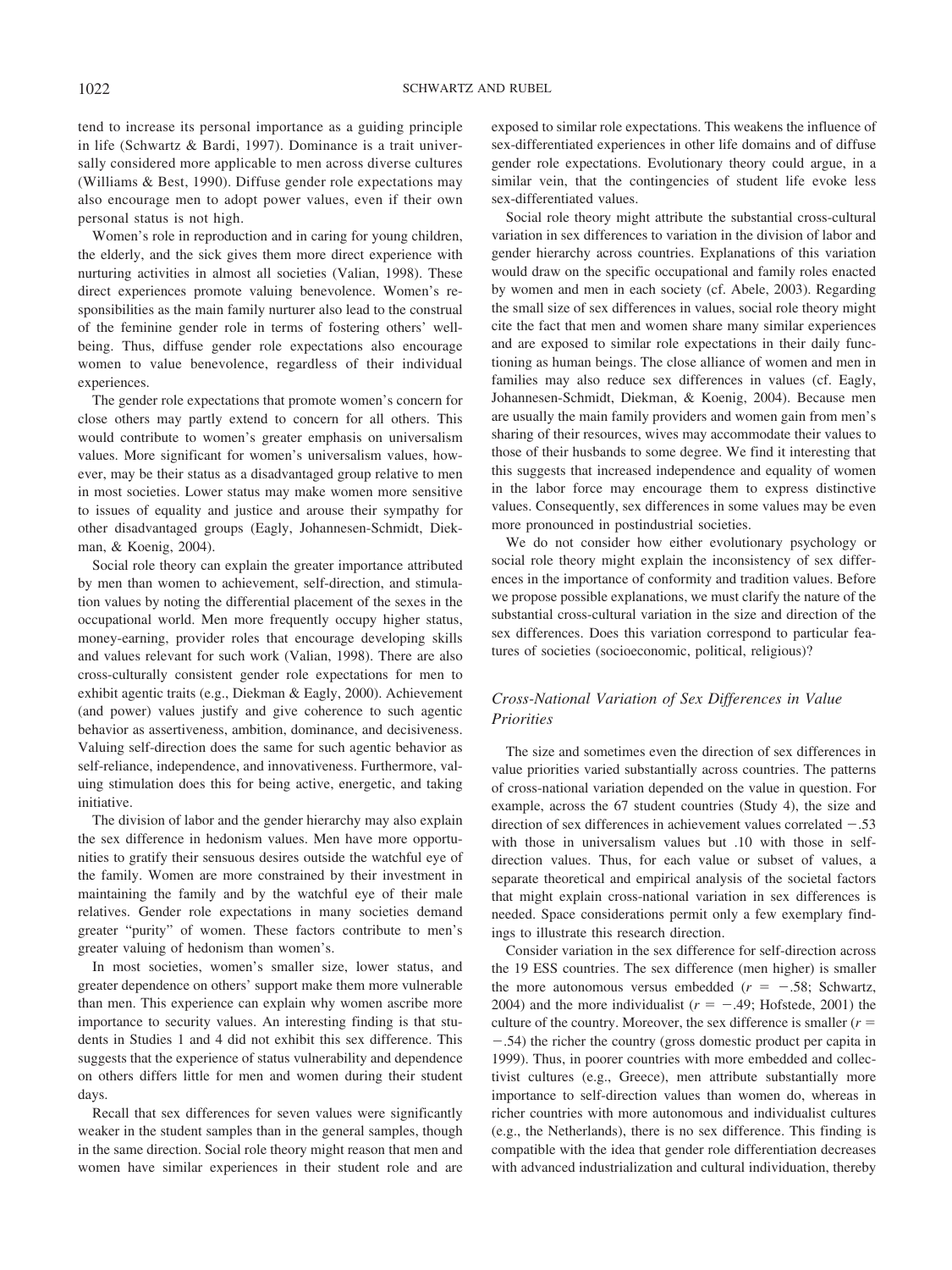tend to increase its personal importance as a guiding principle in life (Schwartz & Bardi, 1997). Dominance is a trait universally considered more applicable to men across diverse cultures (Williams & Best, 1990). Diffuse gender role expectations may also encourage men to adopt power values, even if their own personal status is not high.

Women's role in reproduction and in caring for young children, the elderly, and the sick gives them more direct experience with nurturing activities in almost all societies (Valian, 1998). These direct experiences promote valuing benevolence. Women's responsibilities as the main family nurturer also lead to the construal of the feminine gender role in terms of fostering others' wellbeing. Thus, diffuse gender role expectations also encourage women to value benevolence, regardless of their individual experiences.

The gender role expectations that promote women's concern for close others may partly extend to concern for all others. This would contribute to women's greater emphasis on universalism values. More significant for women's universalism values, however, may be their status as a disadvantaged group relative to men in most societies. Lower status may make women more sensitive to issues of equality and justice and arouse their sympathy for other disadvantaged groups (Eagly, Johannesen-Schmidt, Diekman, & Koenig, 2004).

Social role theory can explain the greater importance attributed by men than women to achievement, self-direction, and stimulation values by noting the differential placement of the sexes in the occupational world. Men more frequently occupy higher status, money-earning, provider roles that encourage developing skills and values relevant for such work (Valian, 1998). There are also cross-culturally consistent gender role expectations for men to exhibit agentic traits (e.g., Diekman & Eagly, 2000). Achievement (and power) values justify and give coherence to such agentic behavior as assertiveness, ambition, dominance, and decisiveness. Valuing self-direction does the same for such agentic behavior as self-reliance, independence, and innovativeness. Furthermore, valuing stimulation does this for being active, energetic, and taking initiative.

The division of labor and the gender hierarchy may also explain the sex difference in hedonism values. Men have more opportunities to gratify their sensuous desires outside the watchful eye of the family. Women are more constrained by their investment in maintaining the family and by the watchful eye of their male relatives. Gender role expectations in many societies demand greater "purity" of women. These factors contribute to men's greater valuing of hedonism than women's.

In most societies, women's smaller size, lower status, and greater dependence on others' support make them more vulnerable than men. This experience can explain why women ascribe more importance to security values. An interesting finding is that students in Studies 1 and 4 did not exhibit this sex difference. This suggests that the experience of status vulnerability and dependence on others differs little for men and women during their student days.

Recall that sex differences for seven values were significantly weaker in the student samples than in the general samples, though in the same direction. Social role theory might reason that men and women have similar experiences in their student role and are exposed to similar role expectations. This weakens the influence of sex-differentiated experiences in other life domains and of diffuse gender role expectations. Evolutionary theory could argue, in a similar vein, that the contingencies of student life evoke less sex-differentiated values.

Social role theory might attribute the substantial cross-cultural variation in sex differences to variation in the division of labor and gender hierarchy across countries. Explanations of this variation would draw on the specific occupational and family roles enacted by women and men in each society (cf. Abele, 2003). Regarding the small size of sex differences in values, social role theory might cite the fact that men and women share many similar experiences and are exposed to similar role expectations in their daily functioning as human beings. The close alliance of women and men in families may also reduce sex differences in values (cf. Eagly, Johannesen-Schmidt, Diekman, & Koenig, 2004). Because men are usually the main family providers and women gain from men's sharing of their resources, wives may accommodate their values to those of their husbands to some degree. We find it interesting that this suggests that increased independence and equality of women in the labor force may encourage them to express distinctive values. Consequently, sex differences in some values may be even more pronounced in postindustrial societies.

We do not consider how either evolutionary psychology or social role theory might explain the inconsistency of sex differences in the importance of conformity and tradition values. Before we propose possible explanations, we must clarify the nature of the substantial cross-cultural variation in the size and direction of the sex differences. Does this variation correspond to particular features of societies (socioeconomic, political, religious)?

# *Cross-National Variation of Sex Differences in Value Priorities*

The size and sometimes even the direction of sex differences in value priorities varied substantially across countries. The patterns of cross-national variation depended on the value in question. For example, across the 67 student countries (Study 4), the size and direction of sex differences in achievement values correlated  $-.53$ with those in universalism values but .10 with those in selfdirection values. Thus, for each value or subset of values, a separate theoretical and empirical analysis of the societal factors that might explain cross-national variation in sex differences is needed. Space considerations permit only a few exemplary findings to illustrate this research direction.

Consider variation in the sex difference for self-direction across the 19 ESS countries. The sex difference (men higher) is smaller the more autonomous versus embedded  $(r = -.58;$  Schwartz, 2004) and the more individualist ( $r = -.49$ ; Hofstede, 2001) the culture of the country. Moreover, the sex difference is smaller  $(r =$ .54) the richer the country (gross domestic product per capita in 1999). Thus, in poorer countries with more embedded and collectivist cultures (e.g., Greece), men attribute substantially more importance to self-direction values than women do, whereas in richer countries with more autonomous and individualist cultures (e.g., the Netherlands), there is no sex difference. This finding is compatible with the idea that gender role differentiation decreases with advanced industrialization and cultural individuation, thereby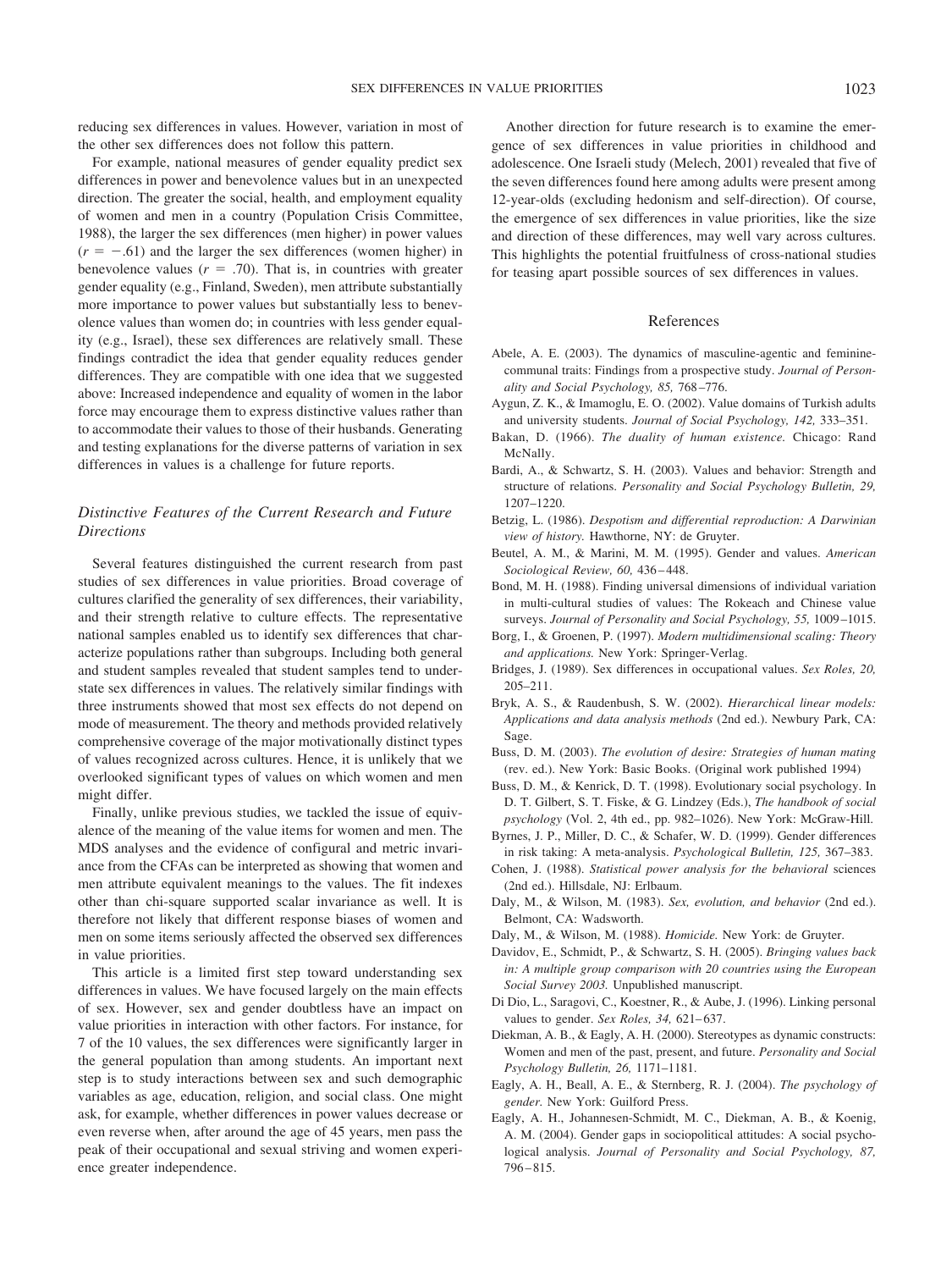reducing sex differences in values. However, variation in most of the other sex differences does not follow this pattern.

For example, national measures of gender equality predict sex differences in power and benevolence values but in an unexpected direction. The greater the social, health, and employment equality of women and men in a country (Population Crisis Committee, 1988), the larger the sex differences (men higher) in power values  $(r = -.61)$  and the larger the sex differences (women higher) in benevolence values  $(r = .70)$ . That is, in countries with greater gender equality (e.g., Finland, Sweden), men attribute substantially more importance to power values but substantially less to benevolence values than women do; in countries with less gender equality (e.g., Israel), these sex differences are relatively small. These findings contradict the idea that gender equality reduces gender differences. They are compatible with one idea that we suggested above: Increased independence and equality of women in the labor force may encourage them to express distinctive values rather than to accommodate their values to those of their husbands. Generating and testing explanations for the diverse patterns of variation in sex differences in values is a challenge for future reports.

# *Distinctive Features of the Current Research and Future Directions*

Several features distinguished the current research from past studies of sex differences in value priorities. Broad coverage of cultures clarified the generality of sex differences, their variability, and their strength relative to culture effects. The representative national samples enabled us to identify sex differences that characterize populations rather than subgroups. Including both general and student samples revealed that student samples tend to understate sex differences in values. The relatively similar findings with three instruments showed that most sex effects do not depend on mode of measurement. The theory and methods provided relatively comprehensive coverage of the major motivationally distinct types of values recognized across cultures. Hence, it is unlikely that we overlooked significant types of values on which women and men might differ.

Finally, unlike previous studies, we tackled the issue of equivalence of the meaning of the value items for women and men. The MDS analyses and the evidence of configural and metric invariance from the CFAs can be interpreted as showing that women and men attribute equivalent meanings to the values. The fit indexes other than chi-square supported scalar invariance as well. It is therefore not likely that different response biases of women and men on some items seriously affected the observed sex differences in value priorities.

This article is a limited first step toward understanding sex differences in values. We have focused largely on the main effects of sex. However, sex and gender doubtless have an impact on value priorities in interaction with other factors. For instance, for 7 of the 10 values, the sex differences were significantly larger in the general population than among students. An important next step is to study interactions between sex and such demographic variables as age, education, religion, and social class. One might ask, for example, whether differences in power values decrease or even reverse when, after around the age of 45 years, men pass the peak of their occupational and sexual striving and women experience greater independence.

Another direction for future research is to examine the emergence of sex differences in value priorities in childhood and adolescence. One Israeli study (Melech, 2001) revealed that five of the seven differences found here among adults were present among 12-year-olds (excluding hedonism and self-direction). Of course, the emergence of sex differences in value priorities, like the size and direction of these differences, may well vary across cultures. This highlights the potential fruitfulness of cross-national studies for teasing apart possible sources of sex differences in values.

### References

- Abele, A. E. (2003). The dynamics of masculine-agentic and femininecommunal traits: Findings from a prospective study. *Journal of Personality and Social Psychology, 85,* 768 –776.
- Aygun, Z. K., & Imamoglu, E. O. (2002). Value domains of Turkish adults and university students. *Journal of Social Psychology, 142,* 333–351.
- Bakan, D. (1966). *The duality of human existence.* Chicago: Rand McNally.
- Bardi, A., & Schwartz, S. H. (2003). Values and behavior: Strength and structure of relations. *Personality and Social Psychology Bulletin, 29,* 1207–1220.
- Betzig, L. (1986). *Despotism and differential reproduction: A Darwinian view of history.* Hawthorne, NY: de Gruyter.
- Beutel, A. M., & Marini, M. M. (1995). Gender and values. *American Sociological Review, 60,* 436 – 448.
- Bond, M. H. (1988). Finding universal dimensions of individual variation in multi-cultural studies of values: The Rokeach and Chinese value surveys. *Journal of Personality and Social Psychology, 55,* 1009 –1015.
- Borg, I., & Groenen, P. (1997). *Modern multidimensional scaling: Theory and applications.* New York: Springer-Verlag.
- Bridges, J. (1989). Sex differences in occupational values. *Sex Roles, 20,* 205–211.
- Bryk, A. S., & Raudenbush, S. W. (2002). *Hierarchical linear models: Applications and data analysis methods* (2nd ed.). Newbury Park, CA: Sage.
- Buss, D. M. (2003). *The evolution of desire: Strategies of human mating* (rev. ed.). New York: Basic Books. (Original work published 1994)
- Buss, D. M., & Kenrick, D. T. (1998). Evolutionary social psychology. In D. T. Gilbert, S. T. Fiske, & G. Lindzey (Eds.), *The handbook of social psychology* (Vol. 2, 4th ed., pp. 982–1026). New York: McGraw-Hill.
- Byrnes, J. P., Miller, D. C., & Schafer, W. D. (1999). Gender differences in risk taking: A meta-analysis. *Psychological Bulletin, 125,* 367–383.
- Cohen, J. (1988). *Statistical power analysis for the behavioral* sciences (2nd ed.). Hillsdale, NJ: Erlbaum.
- Daly, M., & Wilson, M. (1983). *Sex, evolution, and behavior* (2nd ed.). Belmont, CA: Wadsworth.
- Daly, M., & Wilson, M. (1988). *Homicide.* New York: de Gruyter.
- Davidov, E., Schmidt, P., & Schwartz, S. H. (2005). *Bringing values back in: A multiple group comparison with 20 countries using the European Social Survey 2003.* Unpublished manuscript.
- Di Dio, L., Saragovi, C., Koestner, R., & Aube, J. (1996). Linking personal values to gender. *Sex Roles*, 34, 621–637.
- Diekman, A. B., & Eagly, A. H. (2000). Stereotypes as dynamic constructs: Women and men of the past, present, and future. *Personality and Social Psychology Bulletin, 26,* 1171–1181.
- Eagly, A. H., Beall, A. E., & Sternberg, R. J. (2004). *The psychology of gender.* New York: Guilford Press.
- Eagly, A. H., Johannesen-Schmidt, M. C., Diekman, A. B., & Koenig, A. M. (2004). Gender gaps in sociopolitical attitudes: A social psychological analysis. *Journal of Personality and Social Psychology, 87,*  $796 - 815.$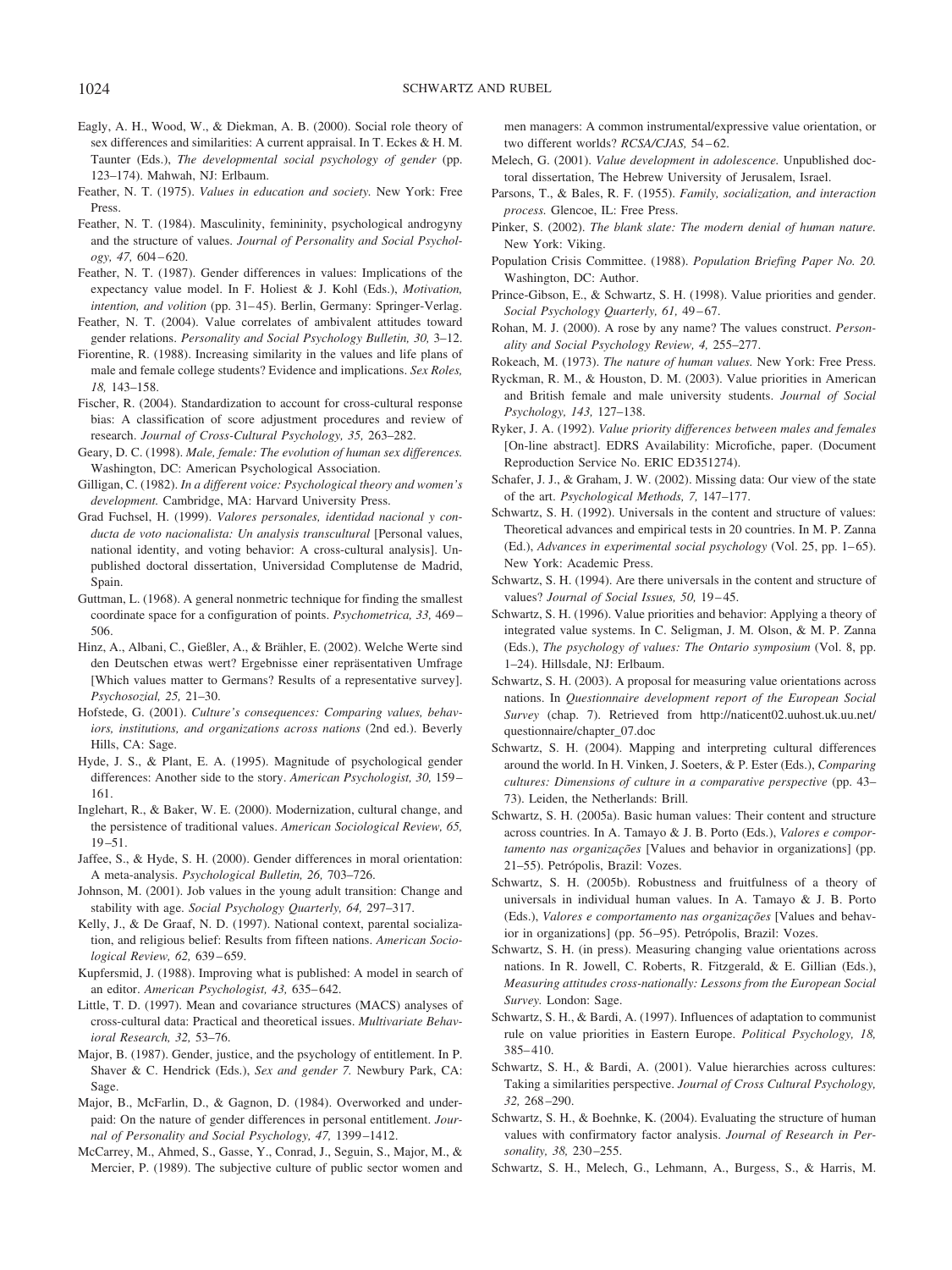- Eagly, A. H., Wood, W., & Diekman, A. B. (2000). Social role theory of sex differences and similarities: A current appraisal. In T. Eckes & H. M. Taunter (Eds.), *The developmental social psychology of gender* (pp. 123–174). Mahwah, NJ: Erlbaum.
- Feather, N. T. (1975). *Values in education and society.* New York: Free Press.
- Feather, N. T. (1984). Masculinity, femininity, psychological androgyny and the structure of values. *Journal of Personality and Social Psychology, 47,* 604 – 620.
- Feather, N. T. (1987). Gender differences in values: Implications of the expectancy value model. In F. Holiest & J. Kohl (Eds.), *Motivation,* intention, and volition (pp. 31-45). Berlin, Germany: Springer-Verlag.
- Feather, N. T. (2004). Value correlates of ambivalent attitudes toward gender relations. *Personality and Social Psychology Bulletin, 30,* 3–12.
- Fiorentine, R. (1988). Increasing similarity in the values and life plans of male and female college students? Evidence and implications. *Sex Roles, 18,* 143–158.
- Fischer, R. (2004). Standardization to account for cross-cultural response bias: A classification of score adjustment procedures and review of research. *Journal of Cross-Cultural Psychology, 35,* 263–282.
- Geary, D. C. (1998). *Male, female: The evolution of human sex differences.* Washington, DC: American Psychological Association.
- Gilligan, C. (1982). *In a different voice: Psychological theory and women's development.* Cambridge, MA: Harvard University Press.
- Grad Fuchsel, H. (1999). *Valores personales, identidad nacional y conducta de voto nacionalista: Un analysis transcultural* [Personal values, national identity, and voting behavior: A cross-cultural analysis]. Unpublished doctoral dissertation, Universidad Complutense de Madrid, Spain.
- Guttman, L. (1968). A general nonmetric technique for finding the smallest coordinate space for a configuration of points. *Psychometrica, 33,* 469 – 506.
- Hinz, A., Albani, C., Gießler, A., & Brähler, E. (2002). Welche Werte sind den Deutschen etwas wert? Ergebnisse einer repräsentativen Umfrage [Which values matter to Germans? Results of a representative survey]. *Psychosozial, 25,* 21–30.
- Hofstede, G. (2001). *Culture's consequences: Comparing values, behaviors, institutions, and organizations across nations* (2nd ed.). Beverly Hills, CA: Sage.
- Hyde, J. S., & Plant, E. A. (1995). Magnitude of psychological gender differences: Another side to the story. *American Psychologist, 30,* 159 – 161.
- Inglehart, R., & Baker, W. E. (2000). Modernization, cultural change, and the persistence of traditional values. *American Sociological Review, 65,*  $19 - 51.$
- Jaffee, S., & Hyde, S. H. (2000). Gender differences in moral orientation: A meta-analysis. *Psychological Bulletin, 26,* 703–726.
- Johnson, M. (2001). Job values in the young adult transition: Change and stability with age. *Social Psychology Quarterly, 64,* 297–317.
- Kelly, J., & De Graaf, N. D. (1997). National context, parental socialization, and religious belief: Results from fifteen nations. *American Sociological Review, 62,* 639 – 659.
- Kupfersmid, J. (1988). Improving what is published: A model in search of an editor. *American Psychologist, 43,* 635– 642.
- Little, T. D. (1997). Mean and covariance structures (MACS) analyses of cross-cultural data: Practical and theoretical issues. *Multivariate Behavioral Research, 32,* 53–76.
- Major, B. (1987). Gender, justice, and the psychology of entitlement. In P. Shaver & C. Hendrick (Eds.), *Sex and gender 7.* Newbury Park, CA: Sage.
- Major, B., McFarlin, D., & Gagnon, D. (1984). Overworked and underpaid: On the nature of gender differences in personal entitlement. *Journal of Personality and Social Psychology, 47,* 1399 –1412.
- McCarrey, M., Ahmed, S., Gasse, Y., Conrad, J., Seguin, S., Major, M., & Mercier, P. (1989). The subjective culture of public sector women and

men managers: A common instrumental/expressive value orientation, or two different worlds? *RCSA/CJAS,* 54 – 62.

- Melech, G. (2001). *Value development in adolescence.* Unpublished doctoral dissertation, The Hebrew University of Jerusalem, Israel.
- Parsons, T., & Bales, R. F. (1955). *Family, socialization, and interaction process.* Glencoe, IL: Free Press.
- Pinker, S. (2002). *The blank slate: The modern denial of human nature.* New York: Viking.
- Population Crisis Committee. (1988). *Population Briefing Paper No. 20.* Washington, DC: Author.
- Prince-Gibson, E., & Schwartz, S. H. (1998). Value priorities and gender. Social Psychology Quarterly, 61, 49-67.
- Rohan, M. J. (2000). A rose by any name? The values construct. *Personality and Social Psychology Review, 4,* 255–277.
- Rokeach, M. (1973). *The nature of human values.* New York: Free Press.
- Ryckman, R. M., & Houston, D. M. (2003). Value priorities in American and British female and male university students. *Journal of Social Psychology, 143,* 127–138.
- Ryker, J. A. (1992). *Value priority differences between males and females* [On-line abstract]. EDRS Availability: Microfiche, paper. (Document Reproduction Service No. ERIC ED351274).
- Schafer, J. J., & Graham, J. W. (2002). Missing data: Our view of the state of the art. *Psychological Methods, 7,* 147–177.
- Schwartz, S. H. (1992). Universals in the content and structure of values: Theoretical advances and empirical tests in 20 countries. In M. P. Zanna (Ed.), *Advances in experimental social psychology* (Vol. 25, pp. 1-65). New York: Academic Press.
- Schwartz, S. H. (1994). Are there universals in the content and structure of values? *Journal of Social Issues, 50, 19-45.*
- Schwartz, S. H. (1996). Value priorities and behavior: Applying a theory of integrated value systems. In C. Seligman, J. M. Olson, & M. P. Zanna (Eds.), *The psychology of values: The Ontario symposium* (Vol. 8, pp. 1–24). Hillsdale, NJ: Erlbaum.
- Schwartz, S. H. (2003). A proposal for measuring value orientations across nations. In *Questionnaire development report of the European Social Survey* (chap. 7). Retrieved from http://naticent02.uuhost.uk.uu.net/ questionnaire/chapter\_07.doc
- Schwartz, S. H. (2004). Mapping and interpreting cultural differences around the world. In H. Vinken, J. Soeters, & P. Ester (Eds.), *Comparing cultures: Dimensions of culture in a comparative perspective* (pp. 43– 73). Leiden, the Netherlands: Brill.
- Schwartz, S. H. (2005a). Basic human values: Their content and structure across countries. In A. Tamayo & J. B. Porto (Eds.), *Valores e comportamento nas organizações* [Values and behavior in organizations] (pp. 21-55). Petrópolis, Brazil: Vozes.
- Schwartz, S. H. (2005b). Robustness and fruitfulness of a theory of universals in individual human values. In A. Tamayo & J. B. Porto (Eds.), *Valores e comportamento nas organizações* [Values and behavior in organizations] (pp. 56-95). Petrópolis, Brazil: Vozes.
- Schwartz, S. H. (in press). Measuring changing value orientations across nations. In R. Jowell, C. Roberts, R. Fitzgerald, & E. Gillian (Eds.), *Measuring attitudes cross-nationally: Lessons from the European Social Survey.* London: Sage.
- Schwartz, S. H., & Bardi, A. (1997). Influences of adaptation to communist rule on value priorities in Eastern Europe. *Political Psychology, 18,* 385– 410.
- Schwartz, S. H., & Bardi, A. (2001). Value hierarchies across cultures: Taking a similarities perspective. *Journal of Cross Cultural Psychology, 32,* 268 –290.
- Schwartz, S. H., & Boehnke, K. (2004). Evaluating the structure of human values with confirmatory factor analysis. *Journal of Research in Personality, 38,* 230 –255.
- Schwartz, S. H., Melech, G., Lehmann, A., Burgess, S., & Harris, M.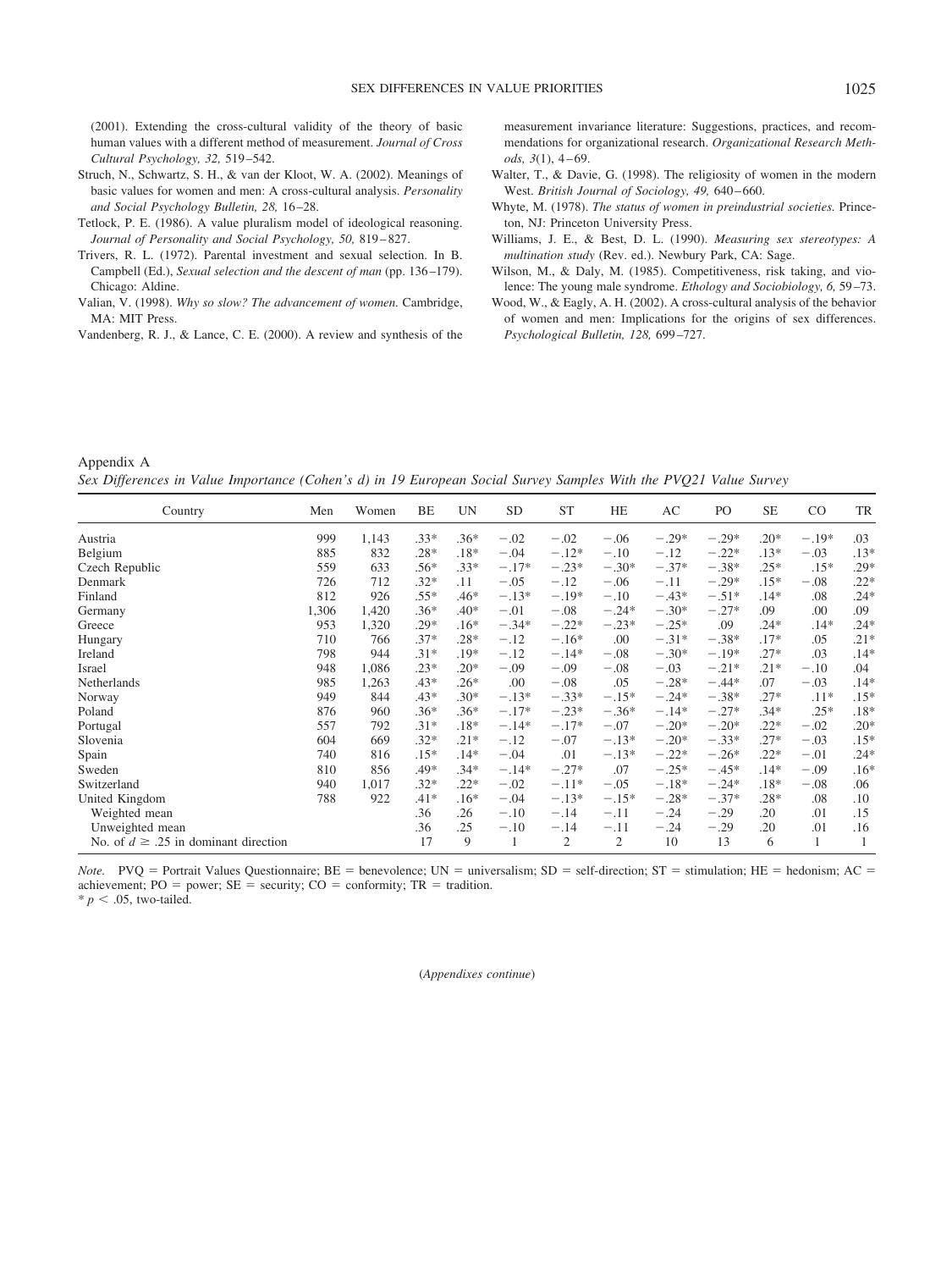(2001). Extending the cross-cultural validity of the theory of basic human values with a different method of measurement. *Journal of Cross Cultural Psychology, 32,* 519 –542.

- Struch, N., Schwartz, S. H., & van der Kloot, W. A. (2002). Meanings of basic values for women and men: A cross-cultural analysis. *Personality and Social Psychology Bulletin, 28,* 16 –28.
- Tetlock, P. E. (1986). A value pluralism model of ideological reasoning. *Journal of Personality and Social Psychology, 50,* 819 – 827.
- Trivers, R. L. (1972). Parental investment and sexual selection. In B. Campbell (Ed.), *Sexual selection and the descent of man* (pp. 136–179). Chicago: Aldine.
- Valian, V. (1998). *Why so slow? The advancement of women.* Cambridge, MA: MIT Press.

Vandenberg, R. J., & Lance, C. E. (2000). A review and synthesis of the

measurement invariance literature: Suggestions, practices, and recommendations for organizational research. *Organizational Research Methods,* 3(1), 4-69.

- Walter, T., & Davie, G. (1998). The religiosity of women in the modern West. *British Journal of Sociology*, 49, 640-660.
- Whyte, M. (1978). *The status of women in preindustrial societies.* Princeton, NJ: Princeton University Press.
- Williams, J. E., & Best, D. L. (1990). *Measuring sex stereotypes: A multination study* (Rev. ed.). Newbury Park, CA: Sage.
- Wilson, M., & Daly, M. (1985). Competitiveness, risk taking, and violence: The young male syndrome. *Ethology and Sociobiology, 6,* 59 –73.
- Wood, W., & Eagly, A. H. (2002). A cross-cultural analysis of the behavior of women and men: Implications for the origins of sex differences. *Psychological Bulletin, 128,* 699 –727.

Appendix A *Sex Differences in Value Importance (Cohen's d) in 19 European Social Survey Samples With the PVQ21 Value Survey*

| Country                                    | Men   | Women | BE     | <b>UN</b> | <b>SD</b> | <b>ST</b> | HE             | AC      | PO      | <b>SE</b> | $\rm CO$ | <b>TR</b> |
|--------------------------------------------|-------|-------|--------|-----------|-----------|-----------|----------------|---------|---------|-----------|----------|-----------|
| Austria                                    | 999   | 1,143 | $.33*$ | $.36*$    | $-.02$    | $-.02$    | $-.06$         | $-.29*$ | $-.29*$ | $.20*$    | $-.19*$  | .03       |
| Belgium                                    | 885   | 832   | $.28*$ | $.18*$    | $-.04$    | $-.12*$   | $-.10$         | $-.12$  | $-.22*$ | $.13*$    | $-.03$   | $.13*$    |
| Czech Republic                             | 559   | 633   | .56*   | $.33*$    | $-.17*$   | $-.23*$   | $-.30*$        | $-.37*$ | $-.38*$ | $.25*$    | $.15*$   | $.29*$    |
| Denmark                                    | 726   | 712   | $.32*$ | .11       | $-.05$    | $-.12$    | $-.06$         | $-.11$  | $-.29*$ | $.15*$    | $-.08$   | $.22*$    |
| Finland                                    | 812   | 926   | $.55*$ | .46*      | $-.13*$   | $-.19*$   | $-.10$         | $-.43*$ | $-.51*$ | $.14*$    | .08      | $.24*$    |
| Germany                                    | 1,306 | 1,420 | $.36*$ | $.40*$    | $-.01$    | $-.08$    | $-.24*$        | $-.30*$ | $-.27*$ | .09       | .00      | .09       |
| Greece                                     | 953   | 1,320 | $.29*$ | $.16*$    | $-.34*$   | $-.22*$   | $-.23*$        | $-.25*$ | .09     | $.24*$    | $.14*$   | $.24*$    |
| Hungary                                    | 710   | 766   | $.37*$ | $.28*$    | $-.12$    | $-.16*$   | .00            | $-.31*$ | $-.38*$ | $.17*$    | .05      | $.21*$    |
| Ireland                                    | 798   | 944   | $.31*$ | .19*      | $-.12$    | $-.14*$   | $-.08$         | $-.30*$ | $-.19*$ | $.27*$    | .03      | $.14*$    |
| Israel                                     | 948   | 1,086 | $.23*$ | $.20*$    | $-.09$    | $-.09$    | $-.08$         | $-.03$  | $-.21*$ | $.21*$    | $-.10$   | .04       |
| Netherlands                                | 985   | 1,263 | .43*   | $.26*$    | .00       | $-.08$    | .05            | $-.28*$ | $-.44*$ | .07       | $-.03$   | $.14*$    |
| Norway                                     | 949   | 844   | .43*   | $.30*$    | $-.13*$   | $-.33*$   | $-.15*$        | $-.24*$ | $-.38*$ | $.27*$    | $.11*$   | $.15*$    |
| Poland                                     | 876   | 960   | $.36*$ | $.36*$    | $-.17*$   | $-.23*$   | $-.36*$        | $-.14*$ | $-.27*$ | $.34*$    | $.25*$   | $.18*$    |
| Portugal                                   | 557   | 792   | $.31*$ | $.18*$    | $-.14*$   | $-.17*$   | $-.07$         | $-.20*$ | $-.20*$ | $.22*$    | $-.02$   | $.20*$    |
| Slovenia                                   | 604   | 669   | $.32*$ | $.21*$    | $-.12$    | $-.07$    | $-.13*$        | $-.20*$ | $-.33*$ | $.27*$    | $-.03$   | $.15*$    |
| Spain                                      | 740   | 816   | $.15*$ | .14*      | $-.04$    | .01       | $-.13*$        | $-.22*$ | $-.26*$ | $.22*$    | $-.01$   | $.24*$    |
| Sweden                                     | 810   | 856   | .49*   | $.34*$    | $-.14*$   | $-.27*$   | .07            | $-.25*$ | $-.45*$ | $.14*$    | $-.09$   | $.16*$    |
| Switzerland                                | 940   | 1,017 | $.32*$ | $.22*$    | $-.02$    | $-.11*$   | $-.05$         | $-.18*$ | $-.24*$ | $.18*$    | $-.08$   | .06       |
| United Kingdom                             | 788   | 922   | $.41*$ | $.16*$    | $-.04$    | $-.13*$   | $-.15*$        | $-.28*$ | $-.37*$ | $.28*$    | .08      | .10       |
| Weighted mean                              |       |       | .36    | .26       | $-.10$    | $-.14$    | $-.11$         | $-.24$  | $-.29$  | .20       | .01      | .15       |
| Unweighted mean                            |       |       | .36    | .25       | $-.10$    | $-.14$    | $-.11$         | $-.24$  | $-.29$  | .20       | .01      | .16       |
| No. of $d \geq 0.25$ in dominant direction |       |       | 17     | 9         |           | 2         | $\overline{c}$ | 10      | 13      | 6         |          |           |

*Note.* PVQ = Portrait Values Questionnaire;  $BE$  = benevolence;  $UN$  = universalism;  $SD$  = self-direction;  $ST$  = stimulation;  $HE$  = hedonism;  $AC$  = achievement;  $PO = power$ ;  $SE = security$ ;  $CO = conformity$ ;  $TR = tradition$ .

 $* p < .05$ , two-tailed.

(*Appendixes continue*)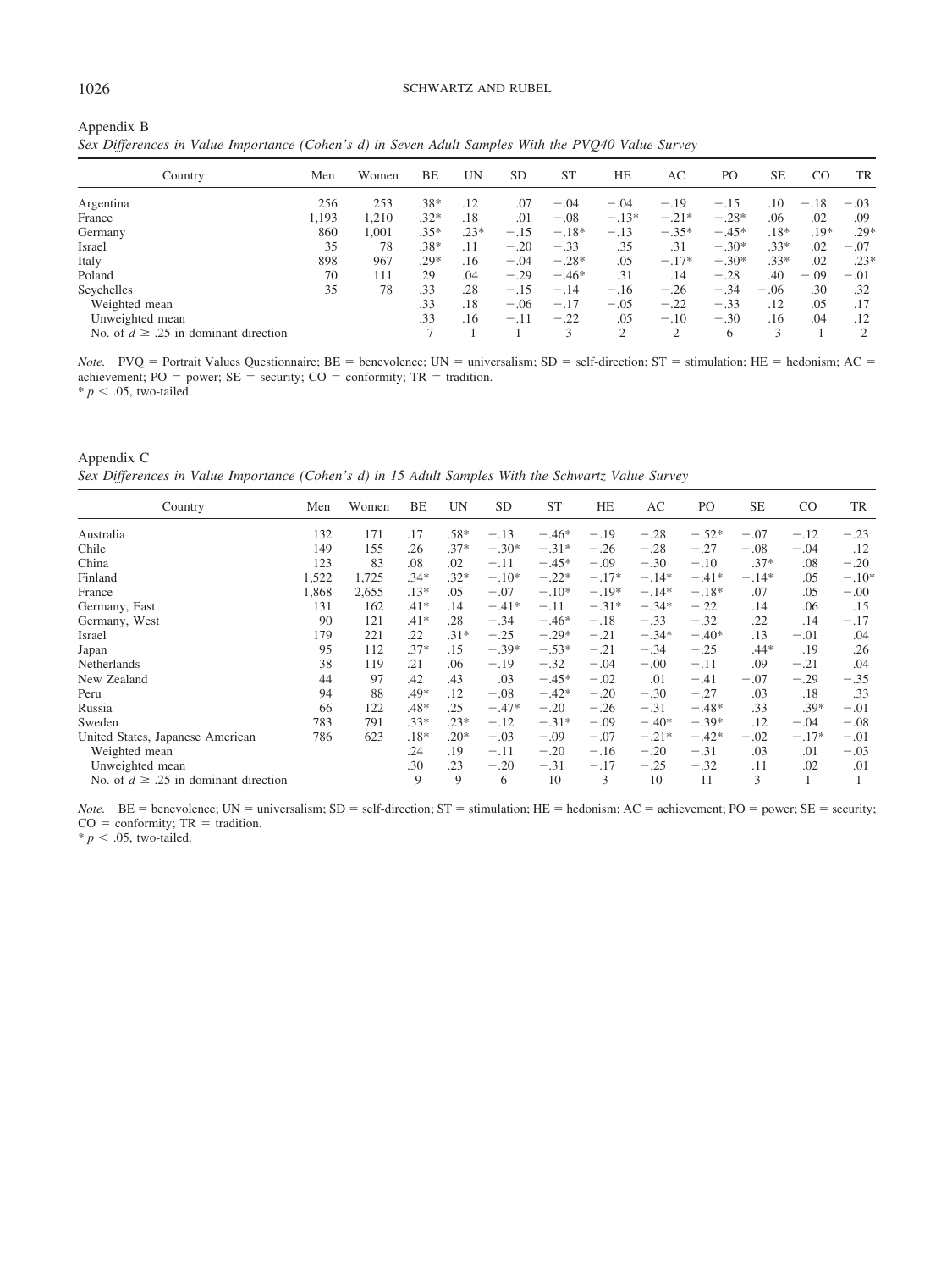# SCHWARTZ AND RUBEL

| ×<br>w<br>٧<br>I |  |  |  |
|------------------|--|--|--|
|------------------|--|--|--|

| Appendix B                                                                                         |  |
|----------------------------------------------------------------------------------------------------|--|
| Sex Differences in Value Importance (Cohen's d) in Seven Adult Samples With the PVQ40 Value Survey |  |

| $\cdot$                                    |       |       |        |        |           |           | ~         |         |                |           |        |                |
|--------------------------------------------|-------|-------|--------|--------|-----------|-----------|-----------|---------|----------------|-----------|--------|----------------|
| Country                                    | Men   | Women | BE     | UN     | <b>SD</b> | <b>ST</b> | <b>HE</b> | AC      | P <sub>O</sub> | <b>SE</b> | CO     | <b>TR</b>      |
| Argentina                                  | 256   | 253   | $.38*$ | .12    | .07       | $-.04$    | $-.04$    | $-.19$  | $-.15$         | .10       | $-.18$ | $-.03$         |
| France                                     | 1.193 | 1.210 | $.32*$ | .18    | .01       | $-.08$    | $-.13*$   | $-.21*$ | $-.28*$        | .06       | .02    | .09            |
| Germany                                    | 860   | 1.001 | $.35*$ | $.23*$ | $-.15$    | $-.18*$   | $-.13$    | $-.35*$ | $-.45*$        | $.18*$    | $.19*$ | $.29*$         |
| Israel                                     | 35    | 78    | $.38*$ | .11    | $-.20$    | $-.33$    | .35       | .31     | $-.30*$        | $.33*$    | .02    | $-.07$         |
| Italy                                      | 898   | 967   | $.29*$ | .16    | $-.04$    | $-.28*$   | .05       | $-.17*$ | $-.30*$        | $.33*$    | .02    | $.23*$         |
| Poland                                     | 70    | 111   | .29    | .04    | $-.29$    | $-.46*$   | .31       | .14     | $-.28$         | .40       | $-.09$ | $-.01$         |
| Seychelles                                 | 35    | 78    | .33    | .28    | $-.15$    | $-.14$    | $-.16$    | $-.26$  | $-.34$         | $-.06$    | .30    | .32            |
| Weighted mean                              |       |       | .33    | .18    | $-.06$    | $-.17$    | $-.05$    | $-.22$  | $-.33$         | .12       | .05    | .17            |
| Unweighted mean                            |       |       | .33    | .16    | $-.11$    | $-.22$    | .05       | $-.10$  | $-.30$         | .16       | .04    | .12            |
| No. of $d \geq 0.25$ in dominant direction |       |       |        |        |           | 3         | ◠         | 2       | 6              |           |        | $\overline{c}$ |

*Note.* PVQ = Portrait Values Questionnaire;  $BE$  = benevolence;  $UN$  = universalism;  $SD$  = self-direction;  $ST$  = stimulation;  $HE$  = hedonism;  $AC$  = achievement; PO = power;  $SE$  = security; CO = conformity; TR = tradition.  $* p < .05$ , two-tailed.

Appendix C *Sex Differences in Value Importance (Cohen's d) in 15 Adult Samples With the Schwartz Value Survey*

| Country                                    | Men   | Women | BE     | <b>UN</b> | <b>SD</b> | <b>ST</b> | HE      | AC      | PO      | <b>SE</b> | $_{\rm CO}$ | TR      |
|--------------------------------------------|-------|-------|--------|-----------|-----------|-----------|---------|---------|---------|-----------|-------------|---------|
| Australia                                  | 132   | 171   | .17    | .58*      | $-.13$    | $-.46*$   | $-.19$  | $-.28$  | $-.52*$ | $-.07$    | $-.12$      | $-.23$  |
| Chile                                      | 149   | 155   | .26    | $.37*$    | $-.30*$   | $-.31*$   | $-.26$  | $-.28$  | $-.27$  | $-.08$    | $-.04$      | .12     |
| China                                      | 123   | 83    | .08    | .02       | $-.11$    | $-.45*$   | $-.09$  | $-.30$  | $-.10$  | $.37*$    | .08         | $-.20$  |
| Finland                                    | 1,522 | 1,725 | $.34*$ | $.32*$    | $-.10*$   | $-.22*$   | $-.17*$ | $-.14*$ | $-.41*$ | $-.14*$   | .05         | $-.10*$ |
| France                                     | 1,868 | 2,655 | $.13*$ | .05       | $-.07$    | $-.10*$   | $-.19*$ | $-.14*$ | $-.18*$ | .07       | .05         | $-.00$  |
| Germany, East                              | 131   | 162   | $.41*$ | .14       | $-.41*$   | $-.11$    | $-.31*$ | $-.34*$ | $-.22$  | .14       | .06         | .15     |
| Germany, West                              | 90    | 121   | $.41*$ | .28       | $-.34$    | $-.46*$   | $-.18$  | $-.33$  | $-.32$  | .22       | .14         | $-.17$  |
| Israel                                     | 179   | 221   | .22    | $.31*$    | $-.25$    | $-.29*$   | $-.21$  | $-.34*$ | $-.40*$ | .13       | $-.01$      | .04     |
| Japan                                      | 95    | 112   | $.37*$ | .15       | $-.39*$   | $-.53*$   | $-.21$  | $-.34$  | $-.25$  | $.44*$    | .19         | .26     |
| Netherlands                                | 38    | 119   | .21    | .06       | $-.19$    | $-.32$    | $-.04$  | $-.00$  | $-.11$  | .09       | $-.21$      | .04     |
| New Zealand                                | 44    | 97    | .42    | .43       | .03       | $-.45*$   | $-.02$  | .01     | $-.41$  | $-.07$    | $-.29$      | $-.35$  |
| Peru                                       | 94    | 88    | .49*   | .12       | $-.08$    | $-.42*$   | $-.20$  | $-.30$  | $-.27$  | .03       | .18         | .33     |
| Russia                                     | 66    | 122   | .48*   | .25       | $-.47*$   | $-.20$    | $-.26$  | $-.31$  | $-.48*$ | .33       | $.39*$      | $-.01$  |
| Sweden                                     | 783   | 791   | $.33*$ | $.23*$    | $-.12$    | $-.31*$   | $-.09$  | $-.40*$ | $-.39*$ | .12       | $-.04$      | $-.08$  |
| United States, Japanese American           | 786   | 623   | $.18*$ | $.20*$    | $-.03$    | $-.09$    | $-.07$  | $-.21*$ | $-.42*$ | $-.02$    | $-.17*$     | $-.01$  |
| Weighted mean                              |       |       | .24    | .19       | $-.11$    | $-.20$    | $-.16$  | $-.20$  | $-.31$  | .03       | .01         | $-.03$  |
| Unweighted mean                            |       |       | .30    | .23       | $-.20$    | $-.31$    | $-.17$  | $-.25$  | $-.32$  | .11       | .02         | .01     |
| No. of $d \geq 0.25$ in dominant direction |       |       | 9      | 9         | 6         | 10        | 3       | 10      | 11      | 3         |             |         |

*Note.* BE = benevolence; UN = universalism; SD = self-direction; ST = stimulation; HE = hedonism; AC = achievement; PO = power; SE = security;  $CO = \text{conformity}$ ; TR = tradition.

 $* p < .05$ , two-tailed.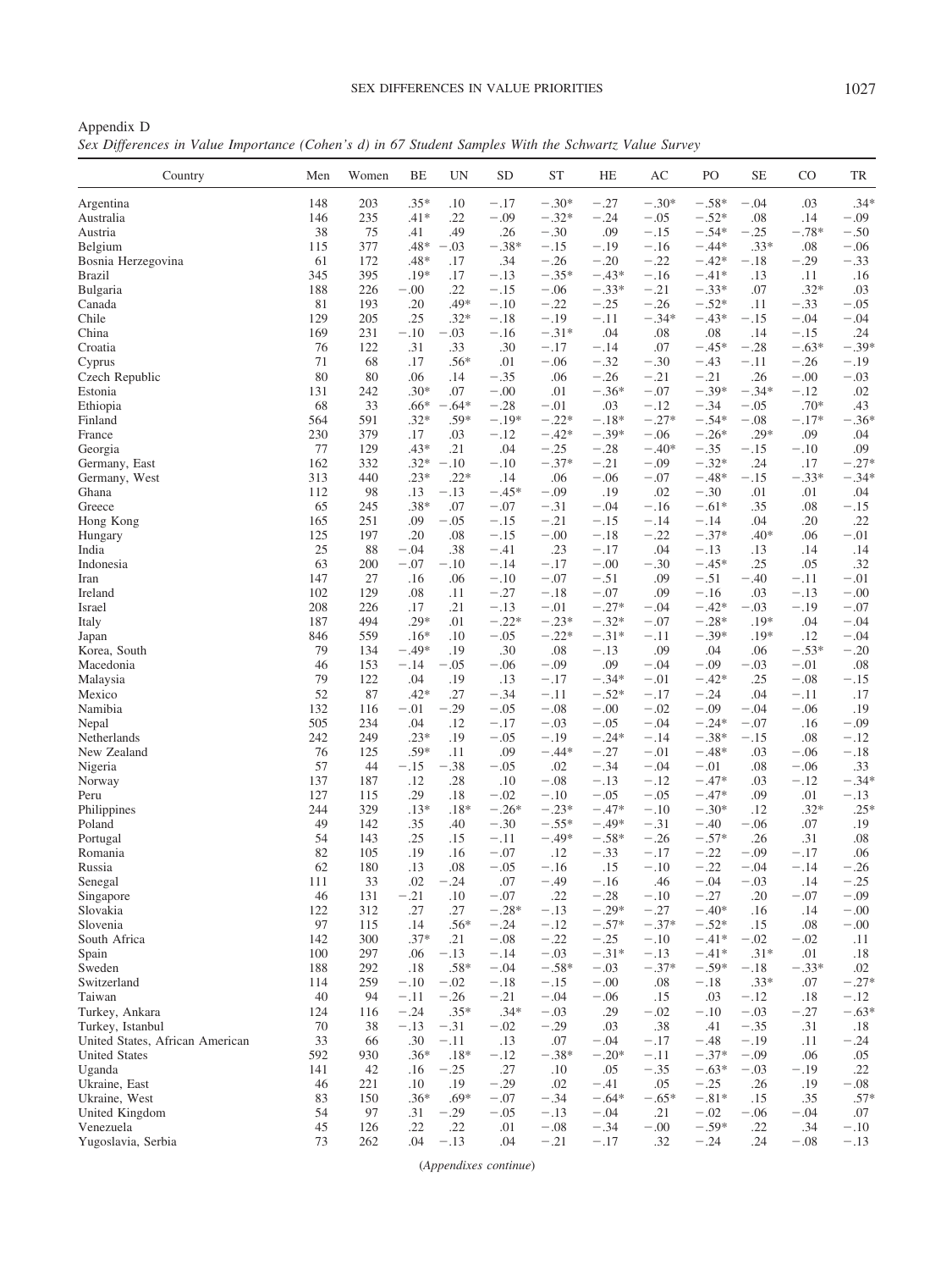Appendix D *Sex Differences in Value Importance (Cohen's d) in 67 Student Samples With the Schwartz Value Survey*

| Country                         | Men        | Women      | BE               | <b>UN</b>        | <b>SD</b>         | <b>ST</b>          | HE                 | AC                | PO                 | <b>SE</b>        | $_{\rm CO}$      | TR               |
|---------------------------------|------------|------------|------------------|------------------|-------------------|--------------------|--------------------|-------------------|--------------------|------------------|------------------|------------------|
| Argentina                       | 148        | 203        | $.35*$           | .10              | $-.17$            | $-.30*$            | $-.27$             | $-.30*$           | $-.58*$            | $-.04$           | .03              | $.34*$           |
| Australia                       | 146        | 235        | $.41*$           | .22              | $-.09$            | $-.32*$            | $-.24$             | $-.05$            | $-.52*$            | .08              | .14              | $-.09$           |
| Austria                         | 38         | 75         | .41              | .49              | .26               | $-.30$             | .09                | $-.15$            | $-.54*$            | $-.25$           | $-.78*$          | $-.50$           |
| Belgium                         | 115        | 377        | .48*             | $-.03$           | $-.38*$           | $-.15$             | $-.19$             | $-.16$            | $-.44*$            | $.33*$           | .08              | $-.06$           |
| Bosnia Herzegovina              | 61         | 172        | .48*             | .17              | .34               | $-.26$             | $-.20$             | $-.22$            | $-.42*$            | $-.18$           | $-.29$           | $-.33$           |
| <b>Brazil</b>                   | 345        | 395        | $.19*$           | .17              | $-.13$            | $-.35*$            | $-.43*$            | $-.16$            | $-.41*$            | .13              | .11              | .16              |
| Bulgaria                        | 188        | 226        | $-.00$           | .22<br>.49*      | $-.15$            | $-.06$             | $-.33*$            | $-.21$            | $-.33*$            | .07              | $.32*$           | .03              |
| Canada<br>Chile                 | 81<br>129  | 193<br>205 | .20<br>.25       | $.32*$           | $-.10$<br>$-.18$  | $-.22$<br>$-.19$   | $-.25$<br>$-.11$   | $-.26$<br>$-.34*$ | $-.52*$<br>$-.43*$ | .11<br>$-.15$    | $-.33$<br>$-.04$ | $-.05$<br>$-.04$ |
| China                           | 169        | 231        | $-.10$           | $-.03$           | $-.16$            | $-.31*$            | .04                | .08               | .08                | .14              | $-.15$           | .24              |
| Croatia                         | 76         | 122        | .31              | .33              | .30               | $-.17$             | $-.14$             | .07               | $-.45*$            | $-.28$           | $-.63*$          | $-.39*$          |
| Cyprus                          | 71         | 68         | .17              | $.56*$           | .01               | $-.06$             | $-.32$             | $-.30$            | $-.43$             | $-.11$           | $-.26$           | $-.19$           |
| Czech Republic                  | 80         | 80         | .06              | .14              | $-.35$            | .06                | $-.26$             | $-.21$            | $-.21$             | .26              | $-.00$           | $-.03$           |
| Estonia                         | 131        | 242        | $.30*$           | .07              | $-.00$            | .01                | $-.36*$            | $-.07$            | $-.39*$            | $-.34*$          | $-.12$           | .02              |
| Ethiopia                        | 68         | 33         | $.66*$           | $-.64*$          | $-.28$            | $-.01$             | .03                | $-.12$            | $-.34$             | $-.05$           | $.70*$           | .43              |
| Finland                         | 564        | 591        | $.32*$           | $.59*$           | $-.19*$           | $-.22*$            | $-.18*$            | $-.27*$           | $-.54*$            | $-.08$           | $-.17*$          | $-.36*$          |
| France                          | 230        | 379        | .17              | .03              | $-.12$            | $-.42*$            | $-.39*$            | $-.06$            | $-.26*$            | $.29*$           | .09              | .04              |
| Georgia<br>Germany, East        | 77<br>162  | 129<br>332 | $.43*$<br>$.32*$ | .21<br>$-.10$    | .04<br>$-.10$     | $-.25$<br>$-.37*$  | $-.28$             | $-.40*$           | $-.35$<br>$-.32*$  | $-.15$<br>.24    | $-.10$           | .09<br>$-.27*$   |
| Germany, West                   | 313        | 440        | $.23*$           | $.22*$           | .14               | .06                | $-.21$<br>$-.06$   | $-.09$<br>$-.07$  | $-.48*$            | $-.15$           | .17<br>$-.33*$   | $-.34*$          |
| Ghana                           | 112        | 98         | .13              | $-.13$           | $-.45*$           | $-.09$             | .19                | .02               | $-.30$             | .01              | .01              | .04              |
| Greece                          | 65         | 245        | $.38*$           | .07              | $-.07$            | $-.31$             | $-.04$             | $-.16$            | $-.61*$            | .35              | .08              | $-.15$           |
| Hong Kong                       | 165        | 251        | .09              | $-.05$           | $-.15$            | $-.21$             | $-.15$             | $-.14$            | $-.14$             | .04              | .20              | .22              |
| Hungary                         | 125        | 197        | .20              | .08              | $-.15$            | $-.00$             | $-.18$             | $-.22$            | $-.37*$            | $.40*$           | .06              | $-.01$           |
| India                           | 25         | 88         | $-.04$           | .38              | $-.41$            | .23                | $-.17$             | .04               | $-.13$             | .13              | .14              | .14              |
| Indonesia                       | 63         | 200        | $-.07$           | $-.10$           | $-.14$            | $-.17$             | $-.00$             | $-.30$            | $-.45*$            | .25              | .05              | .32              |
| Iran                            | 147        | 27         | .16              | .06              | $-.10$            | $-.07$             | $-.51$             | .09               | $-.51$             | $-.40$           | $-.11$           | $-.01$           |
| Ireland                         | 102        | 129        | .08              | .11              | $-.27$            | $-.18$             | $-.07$             | .09               | $-.16$             | .03              | $-.13$           | $-.00$           |
| Israel                          | 208        | 226        | .17              | .21              | $-.13$            | $-.01$             | $-.27*$            | $-.04$            | $-.42*$            | $-.03$           | $-.19$           | $-.07$           |
| Italy                           | 187<br>846 | 494<br>559 | $.29*$<br>$.16*$ | .01<br>.10       | $-.22*$<br>$-.05$ | $-.23*$<br>$-.22*$ | $-.32*$<br>$-.31*$ | $-.07$            | $-.28*$<br>$-.39*$ | $.19*$<br>$.19*$ | .04              | $-.04$<br>$-.04$ |
| Japan<br>Korea, South           | 79         | 134        | $-.49*$          | .19              | .30               | .08                | $-.13$             | $-.11$<br>.09     | .04                | .06              | .12<br>$-.53*$   | $-.20$           |
| Macedonia                       | 46         | 153        | $-.14$           | $-.05$           | $-.06$            | $-.09$             | .09                | $-.04$            | $-.09$             | $-.03$           | $-.01$           | $.08\,$          |
| Malaysia                        | 79         | 122        | .04              | .19              | .13               | $-.17$             | $-.34*$            | $-.01$            | $-.42*$            | .25              | $-.08$           | $-.15$           |
| Mexico                          | 52         | 87         | $.42*$           | .27              | $-.34$            | $-.11$             | $-.52*$            | $-.17$            | $-.24$             | .04              | $-.11$           | .17              |
| Namibia                         | 132        | 116        | $-.01\,$         | $-.29$           | $-.05$            | $-.08$             | $-.00$             | $-.02$            | $-.09$             | $-.04$           | $-.06$           | .19              |
| Nepal                           | 505        | 234        | .04              | .12              | $-.17$            | $-.03$             | $-.05$             | $-.04$            | $-.24*$            | $-.07$           | .16              | $-.09$           |
| Netherlands                     | 242        | 249        | $.23*$           | .19              | $-.05$            | $-.19$             | $-.24*$            | $-.14$            | $-.38*$            | $-.15$           | .08              | $-.12$           |
| New Zealand                     | 76         | 125        | $.59*$           | .11              | .09               | $-.44*$            | $-.27$             | $-.01$            | $-.48*$            | .03              | $-.06$           | $-.18$           |
| Nigeria<br>Norway               | 57<br>137  | 44         | $-.15$<br>.12    | $-.38$<br>.28    | $-.05$<br>.10     | .02                | $-.34$             | $-.04$            | $-.01$<br>$-.47*$  | .08<br>.03       | $-.06$<br>$-.12$ | .33<br>$-.34*$   |
| Peru                            | 127        | 187<br>115 | .29              | .18              | $-.02$            | $-.08$<br>$-.10$   | $-.13$<br>$-.05$   | $-.12$<br>$-.05$  | $-.47*$            | .09              | .01              | $-.13$           |
| Philippines                     | 244        | 329        | $.13*$           | $.18*$           | $-.26*$           | $-.23*$            | $-.47*$            | $-.10$            | $-.30*$            | .12              | $.32*$           | $.25*$           |
| Poland                          | 49         | 142        | .35              | .40              | $-.30$            | $-.55*$            | $-.49*$            | $-.31$            | $-.40$             | $-.06$           | .07              | .19              |
| Portugal                        | 54         | 143        | .25              | .15              | $-.11$            | $-.49*$            | $-.58*$            | $-.26$            | $-.57*$            | .26              | .31              | .08              |
| Romania                         | 82         | 105        | .19              | .16              | $-.07$            | .12                | $-.33$             | $-.17$            | $-.22$             | $-.09$           | $-.17$           | .06              |
| Russia                          | 62         | 180        | .13              | .08              | $-.05$            | $-.16$             | .15                | $-.10$            | $-.22$             | $-.04$           | $-.14$           | $-.26$           |
| Senegal                         | 111        | 33         | .02              | $-.24$           | .07               | $-.49$             | $-.16$             | .46               | $-.04$             | $-.03$           | .14              | $-.25$           |
| Singapore                       | 46         | 131        | $-.21$           | .10              | $-.07$            | .22                | $-.28$             | $-.10$            | $-.27$             | .20              | $-.07$           | $-.09$           |
| Slovakia                        | 122        | 312        | .27              | .27              | $-.28*$           | $-.13$             | $-.29*$            | $-.27$            | $-.40*$            | .16              | .14              | $-.00$           |
| Slovenia<br>South Africa        | 97<br>142  | 115<br>300 | .14<br>$.37*$    | $.56*$<br>.21    | $-.24$<br>$-.08$  | $-.12$<br>$-.22$   | $-.57*$<br>$-.25$  | $-.37*$<br>$-.10$ | $-.52*$<br>$-.41*$ | .15<br>$-.02$    | .08<br>$-.02$    | $-.00$<br>.11    |
| Spain                           | 100        | 297        | .06              | $-.13$           | $-.14$            | $-.03$             | $-.31*$            | $-.13$            | $-.41*$            | $.31*$           | .01              | .18              |
| Sweden                          | 188        | 292        | .18              | $.58*$           | $-.04$            | $-.58*$            | $-.03$             | $-.37*$           | $-.59*$            | $-.18$           | $-.33*$          | .02              |
| Switzerland                     | 114        | 259        | $-.10$           | $-.02$           | $-.18$            | $-.15$             | $-.00$             | .08               | $-.18$             | $.33*$           | .07              | $-.27*$          |
| Taiwan                          | 40         | 94         | $-.11$           | $-.26$           | $-.21$            | $-.04$             | $-.06$             | .15               | .03                | $-.12$           | .18              | $-.12$           |
| Turkey, Ankara                  | 124        | 116        | $-.24$           | $.35*$           | $.34*$            | $-.03$             | .29                | $-.02$            | $-.10$             | $-.03$           | $-.27$           | $-.63*$          |
| Turkey, Istanbul                | 70         | 38         | $-.13$           | $-.31$           | $-.02$            | $-.29$             | .03                | .38               | .41                | $-.35$           | .31              | .18              |
| United States, African American | 33         | 66         | .30              | $-.11$           | .13               | .07                | $-.04$             | $-.17$            | $-.48$             | $-.19$           | .11              | $-.24$           |
| <b>United States</b>            | 592        | 930        | $.36*$           | $.18*$           | $-.12$            | $-.38*$            | $-.20*$            | $-.11$            | $-.37*$            | $-.09$           | .06              | .05              |
| Uganda                          | 141        | 42         | .16              | $-.25$           | .27               | .10                | .05                | $-.35$            | $-.63*$            | $-.03$           | $-.19$           | .22              |
| Ukraine, East                   | 46         | 221        | .10              | .19              | $-.29$            | .02                | $-.41$             | .05               | $-.25$             | .26              | .19              | $-.08$           |
| Ukraine, West<br>United Kingdom | 83<br>54   | 150<br>97  | $.36*$<br>.31    | $.69*$<br>$-.29$ | $-.07$<br>$-.05$  | $-.34$<br>$-.13$   | $-.64*$<br>$-.04$  | $-.65*$<br>.21    | $-.81*$<br>$-.02$  | .15<br>$-.06$    | .35<br>$-.04$    | $.57*$<br>.07    |
| Venezuela                       | 45         | 126        | .22              | .22              | .01               | $-.08$             | $-.34$             | $-.00$            | $-.59*$            | .22              | .34              | $-.10$           |
| Yugoslavia, Serbia              | 73         | 262        | .04              | $-.13$           | .04               | $-.21$             | $-.17$             | .32               | $-.24$             | .24              | $-.08$           | $-.13$           |
|                                 |            |            |                  |                  |                   |                    |                    |                   |                    |                  |                  |                  |

(*Appendixes continue*)